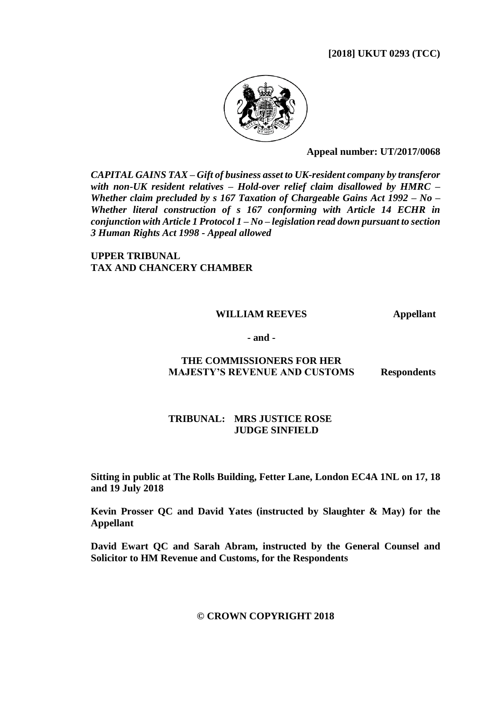# **[2018] UKUT 0293 (TCC)**



**Appeal number: UT/2017/0068**

*CAPITAL GAINS TAX – Gift of business asset to UK-resident company by transferor with non-UK resident relatives – Hold-over relief claim disallowed by HMRC – Whether claim precluded by s 167 Taxation of Chargeable Gains Act 1992 – No – Whether literal construction of s 167 conforming with Article 14 ECHR in conjunction with Article 1 Protocol 1 – No – legislation read down pursuant to section 3 Human Rights Act 1998 - Appeal allowed*

**UPPER TRIBUNAL TAX AND CHANCERY CHAMBER**

#### **WILLIAM REEVES Appellant**

**- and -**

# **THE COMMISSIONERS FOR HER MAJESTY'S REVENUE AND CUSTOMS Respondents**

# **TRIBUNAL: MRS JUSTICE ROSE JUDGE SINFIELD**

**Sitting in public at The Rolls Building, Fetter Lane, London EC4A 1NL on 17, 18 and 19 July 2018**

**Kevin Prosser QC and David Yates (instructed by Slaughter & May) for the Appellant**

**David Ewart QC and Sarah Abram, instructed by the General Counsel and Solicitor to HM Revenue and Customs, for the Respondents**

## **© CROWN COPYRIGHT 2018**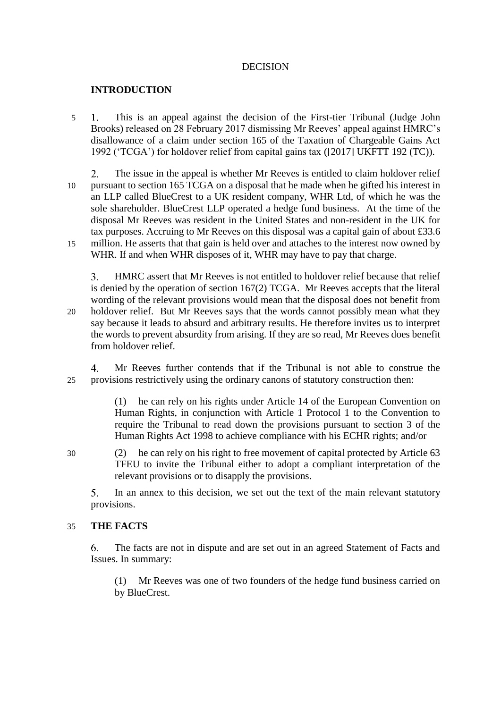# DECISION

# **INTRODUCTION**

- 5 This is an appeal against the decision of the First-tier Tribunal (Judge John Brooks) released on 28 February 2017 dismissing Mr Reeves' appeal against HMRC's disallowance of a claim under section 165 of the Taxation of Chargeable Gains Act 1992 ('TCGA') for holdover relief from capital gains tax ([2017] UKFTT 192 (TC)).
- $2.$ The issue in the appeal is whether Mr Reeves is entitled to claim holdover relief 10 pursuant to section 165 TCGA on a disposal that he made when he gifted his interest in an LLP called BlueCrest to a UK resident company, WHR Ltd, of which he was the sole shareholder. BlueCrest LLP operated a hedge fund business. At the time of the disposal Mr Reeves was resident in the United States and non-resident in the UK for tax purposes. Accruing to Mr Reeves on this disposal was a capital gain of about £33.6 15 million. He asserts that that gain is held over and attaches to the interest now owned by WHR. If and when WHR disposes of it, WHR may have to pay that charge.

 $3<sub>1</sub>$ HMRC assert that Mr Reeves is not entitled to holdover relief because that relief is denied by the operation of section 167(2) TCGA. Mr Reeves accepts that the literal wording of the relevant provisions would mean that the disposal does not benefit from 20 holdover relief. But Mr Reeves says that the words cannot possibly mean what they say because it leads to absurd and arbitrary results. He therefore invites us to interpret the words to prevent absurdity from arising. If they are so read, Mr Reeves does benefit from holdover relief.

 $\overline{4}$ Mr Reeves further contends that if the Tribunal is not able to construe the 25 provisions restrictively using the ordinary canons of statutory construction then:

> (1) he can rely on his rights under Article 14 of the European Convention on Human Rights, in conjunction with Article 1 Protocol 1 to the Convention to require the Tribunal to read down the provisions pursuant to section 3 of the Human Rights Act 1998 to achieve compliance with his ECHR rights; and/or

30 (2) he can rely on his right to free movement of capital protected by Article 63 TFEU to invite the Tribunal either to adopt a compliant interpretation of the relevant provisions or to disapply the provisions.

In an annex to this decision, we set out the text of the main relevant statutory  $5<sub>1</sub>$ provisions.

#### 35 **THE FACTS**

6. The facts are not in dispute and are set out in an agreed Statement of Facts and Issues. In summary:

(1) Mr Reeves was one of two founders of the hedge fund business carried on by BlueCrest.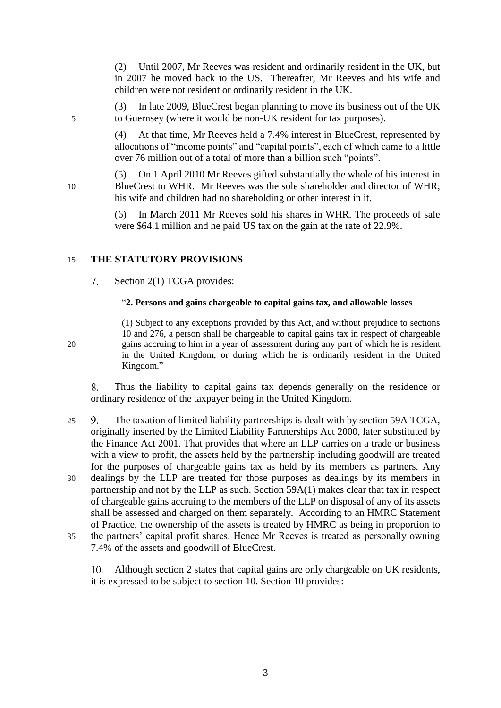(2) Until 2007, Mr Reeves was resident and ordinarily resident in the UK, but in 2007 he moved back to the US. Thereafter, Mr Reeves and his wife and children were not resident or ordinarily resident in the UK.

(3) In late 2009, BlueCrest began planning to move its business out of the UK 5 to Guernsey (where it would be non-UK resident for tax purposes).

> (4) At that time, Mr Reeves held a 7.4% interest in BlueCrest, represented by allocations of "income points" and "capital points", each of which came to a little over 76 million out of a total of more than a billion such "points".

(5) On 1 April 2010 Mr Reeves gifted substantially the whole of his interest in 10 BlueCrest to WHR. Mr Reeves was the sole shareholder and director of WHR; his wife and children had no shareholding or other interest in it.

> (6) In March 2011 Mr Reeves sold his shares in WHR. The proceeds of sale were \$64.1 million and he paid US tax on the gain at the rate of 22.9%.

# 15 **THE STATUTORY PROVISIONS**

#### $7.$ Section 2(1) TCGA provides:

#### "**2. Persons and gains chargeable to capital gains tax, and allowable losses**

(1) Subject to any exceptions provided by this Act, and without prejudice to sections 10 and 276, a person shall be chargeable to capital gains tax in respect of chargeable 20 gains accruing to him in a year of assessment during any part of which he is resident in the United Kingdom, or during which he is ordinarily resident in the United Kingdom."

8. Thus the liability to capital gains tax depends generally on the residence or ordinary residence of the taxpayer being in the United Kingdom.

- 25 The taxation of limited liability partnerships is dealt with by section 59A TCGA, originally inserted by the Limited Liability Partnerships Act 2000, later substituted by the Finance Act 2001. That provides that where an LLP carries on a trade or business with a view to profit, the assets held by the partnership including goodwill are treated for the purposes of chargeable gains tax as held by its members as partners. Any 30 dealings by the LLP are treated for those purposes as dealings by its members in partnership and not by the LLP as such. Section 59A(1) makes clear that tax in respect of chargeable gains accruing to the members of the LLP on disposal of any of its assets shall be assessed and charged on them separately. According to an HMRC Statement of Practice, the ownership of the assets is treated by HMRC as being in proportion to 35 the partners' capital profit shares. Hence Mr Reeves is treated as personally owning
	- 7.4% of the assets and goodwill of BlueCrest.

Although section 2 states that capital gains are only chargeable on UK residents, it is expressed to be subject to section 10. Section 10 provides: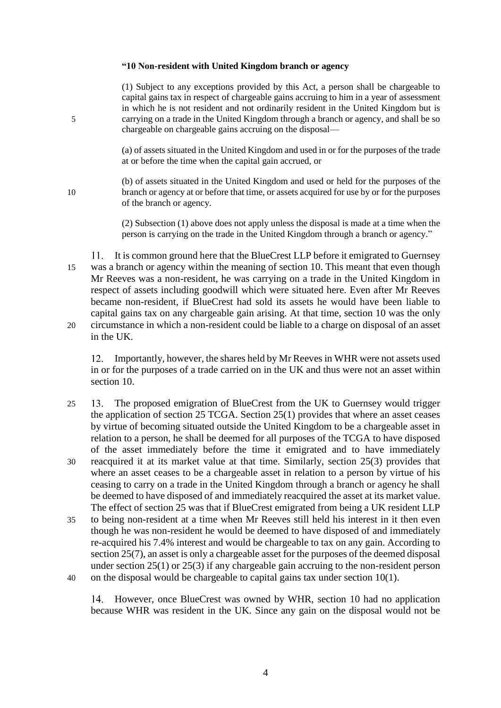#### **"10 Non-resident with United Kingdom branch or agency**

(1) Subject to any exceptions provided by this Act, a person shall be chargeable to capital gains tax in respect of chargeable gains accruing to him in a year of assessment in which he is not resident and not ordinarily resident in the United Kingdom but is 5 carrying on a trade in the United Kingdom through a branch or agency, and shall be so chargeable on chargeable gains accruing on the disposal—

> (a) of assets situated in the United Kingdom and used in or for the purposes of the trade at or before the time when the capital gain accrued, or

(b) of assets situated in the United Kingdom and used or held for the purposes of the 10 branch or agency at or before that time, or assets acquired for use by or for the purposes of the branch or agency.

> (2) Subsection (1) above does not apply unless the disposal is made at a time when the person is carrying on the trade in the United Kingdom through a branch or agency."

It is common ground here that the BlueCrest LLP before it emigrated to Guernsey 11. 15 was a branch or agency within the meaning of section 10. This meant that even though Mr Reeves was a non-resident, he was carrying on a trade in the United Kingdom in respect of assets including goodwill which were situated here. Even after Mr Reeves became non-resident, if BlueCrest had sold its assets he would have been liable to capital gains tax on any chargeable gain arising. At that time, section 10 was the only 20 circumstance in which a non-resident could be liable to a charge on disposal of an asset in the UK.

12. Importantly, however, the shares held by Mr Reeves in WHR were not assets used in or for the purposes of a trade carried on in the UK and thus were not an asset within section 10.

- 25 The proposed emigration of BlueCrest from the UK to Guernsey would trigger the application of section 25 TCGA. Section 25(1) provides that where an asset ceases by virtue of becoming situated outside the United Kingdom to be a chargeable asset in relation to a person, he shall be deemed for all purposes of the TCGA to have disposed of the asset immediately before the time it emigrated and to have immediately 30 reacquired it at its market value at that time. Similarly, section 25(3) provides that where an asset ceases to be a chargeable asset in relation to a person by virtue of his ceasing to carry on a trade in the United Kingdom through a branch or agency he shall be deemed to have disposed of and immediately reacquired the asset at its market value. The effect of section 25 was that if BlueCrest emigrated from being a UK resident LLP
- 35 to being non-resident at a time when Mr Reeves still held his interest in it then even though he was non-resident he would be deemed to have disposed of and immediately re-acquired his 7.4% interest and would be chargeable to tax on any gain. According to section 25(7), an asset is only a chargeable asset for the purposes of the deemed disposal under section 25(1) or 25(3) if any chargeable gain accruing to the non-resident person 40 on the disposal would be chargeable to capital gains tax under section 10(1).

14. However, once BlueCrest was owned by WHR, section 10 had no application because WHR was resident in the UK. Since any gain on the disposal would not be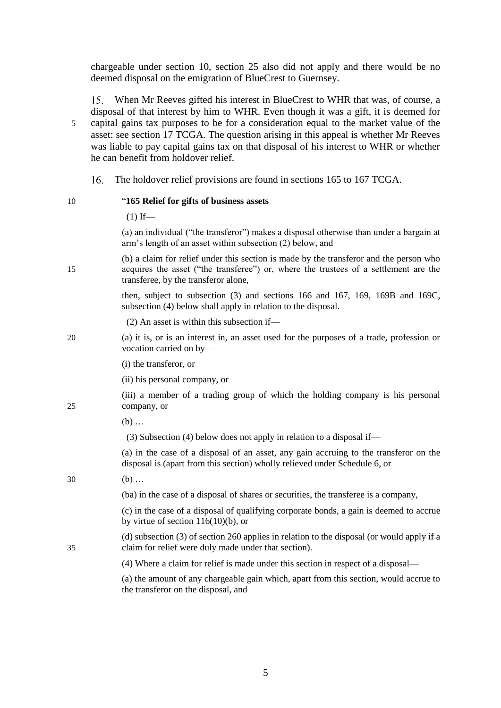chargeable under section 10, section 25 also did not apply and there would be no deemed disposal on the emigration of BlueCrest to Guernsey.

When Mr Reeves gifted his interest in BlueCrest to WHR that was, of course, a  $15.$ disposal of that interest by him to WHR. Even though it was a gift, it is deemed for 5 capital gains tax purposes to be for a consideration equal to the market value of the asset: see section 17 TCGA. The question arising in this appeal is whether Mr Reeves was liable to pay capital gains tax on that disposal of his interest to WHR or whether he can benefit from holdover relief.

16. The holdover relief provisions are found in sections 165 to 167 TCGA.

# 10 "**165 Relief for gifts of business assets**

 $(1)$  If— (a) an individual ("the transferor") makes a disposal otherwise than under a bargain at arm's length of an asset within subsection (2) below, and (b) a claim for relief under this section is made by the transferor and the person who 15 acquires the asset ("the transferee") or, where the trustees of a settlement are the transferee, by the transferor alone, then, subject to subsection (3) and sections 166 and 167, 169, 169B and 169C, subsection (4) below shall apply in relation to the disposal. (2) An asset is within this subsection if— 20 (a) it is, or is an interest in, an asset used for the purposes of a trade, profession or vocation carried on by— (i) the transferor, or (ii) his personal company, or (iii) a member of a trading group of which the holding company is his personal 25 company, or (b) … (3) Subsection (4) below does not apply in relation to a disposal if— (a) in the case of a disposal of an asset, any gain accruing to the transferor on the disposal is (apart from this section) wholly relieved under Schedule 6, or 30 (b) … (ba) in the case of a disposal of shares or securities, the transferee is a company, (c) in the case of a disposal of qualifying corporate bonds, a gain is deemed to accrue by virtue of section  $116(10)(b)$ , or (d) subsection (3) of section 260 applies in relation to the disposal (or would apply if a 35 claim for relief were duly made under that section). (4) Where a claim for relief is made under this section in respect of a disposal— (a) the amount of any chargeable gain which, apart from this section, would accrue to the transferor on the disposal, and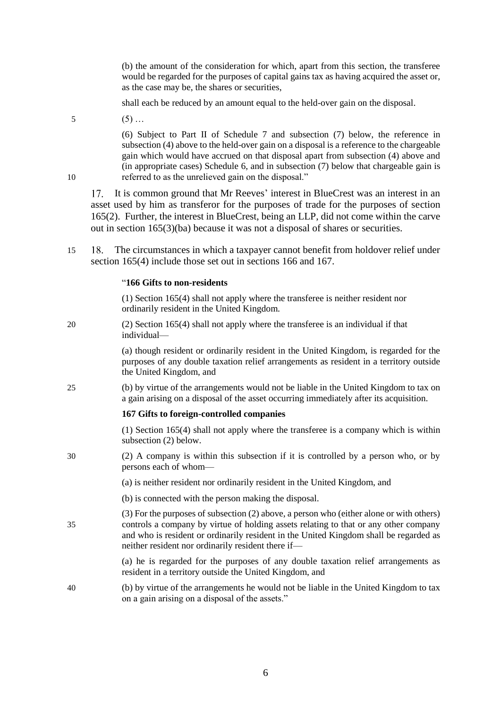(b) the amount of the consideration for which, apart from this section, the transferee would be regarded for the purposes of capital gains tax as having acquired the asset or, as the case may be, the shares or securities,

shall each be reduced by an amount equal to the held-over gain on the disposal.

 $5$  (5)...

(6) Subject to Part II of Schedule 7 and subsection (7) below, the reference in subsection (4) above to the held-over gain on a disposal is a reference to the chargeable gain which would have accrued on that disposal apart from subsection (4) above and (in appropriate cases) Schedule 6, and in subsection (7) below that chargeable gain is 10 referred to as the unrelieved gain on the disposal."

17. It is common ground that Mr Reeves' interest in BlueCrest was an interest in an asset used by him as transferor for the purposes of trade for the purposes of section 165(2). Further, the interest in BlueCrest, being an LLP, did not come within the carve out in section 165(3)(ba) because it was not a disposal of shares or securities.

15 The circumstances in which a taxpayer cannot benefit from holdover relief under section 165(4) include those set out in sections 166 and 167.

#### "**166 Gifts to non-residents**

(1) Section 165(4) shall not apply where the transferee is neither resident nor ordinarily resident in the United Kingdom.

20 (2) Section 165(4) shall not apply where the transferee is an individual if that individual—

> (a) though resident or ordinarily resident in the United Kingdom, is regarded for the purposes of any double taxation relief arrangements as resident in a territory outside the United Kingdom, and

25 (b) by virtue of the arrangements would not be liable in the United Kingdom to tax on a gain arising on a disposal of the asset occurring immediately after its acquisition.

# **167 Gifts to foreign-controlled companies**

(1) Section 165(4) shall not apply where the transferee is a company which is within subsection (2) below.

30 (2) A company is within this subsection if it is controlled by a person who, or by persons each of whom—

(a) is neither resident nor ordinarily resident in the United Kingdom, and

(b) is connected with the person making the disposal.

(3) For the purposes of subsection (2) above, a person who (either alone or with others) 35 controls a company by virtue of holding assets relating to that or any other company and who is resident or ordinarily resident in the United Kingdom shall be regarded as neither resident nor ordinarily resident there if—

> (a) he is regarded for the purposes of any double taxation relief arrangements as resident in a territory outside the United Kingdom, and

40 (b) by virtue of the arrangements he would not be liable in the United Kingdom to tax on a gain arising on a disposal of the assets."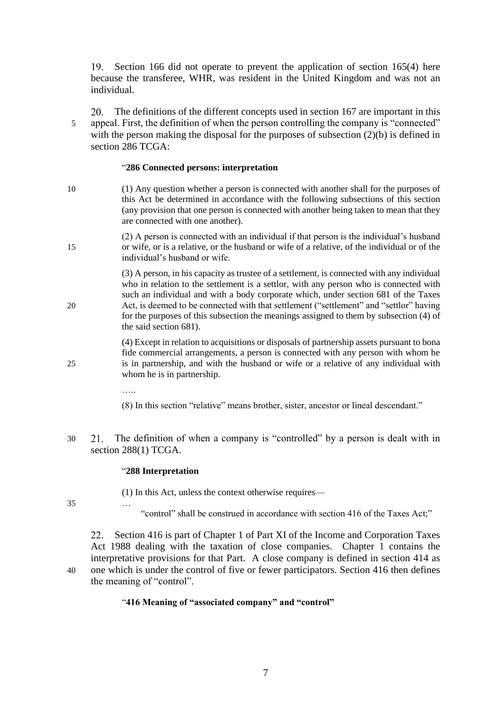19. Section 166 did not operate to prevent the application of section 165(4) here because the transferee, WHR, was resident in the United Kingdom and was not an individual.

The definitions of the different concepts used in section 167 are important in this **20** 5 appeal. First, the definition of when the person controlling the company is "connected" with the person making the disposal for the purposes of subsection (2)(b) is defined in section 286 TCGA:

#### "**286 Connected persons: interpretation**

- 10 (1) Any question whether a person is connected with another shall for the purposes of this Act be determined in accordance with the following subsections of this section (any provision that one person is connected with another being taken to mean that they are connected with one another).
- (2) A person is connected with an individual if that person is the individual's husband 15 or wife, or is a relative, or the husband or wife of a relative, of the individual or of the individual's husband or wife.

(3) A person, in his capacity as trustee of a settlement, is connected with any individual who in relation to the settlement is a settlor, with any person who is connected with such an individual and with a body corporate which, under section 681 of the Taxes 20 Act, is deemed to be connected with that settlement ("settlement" and "settlor" having for the purposes of this subsection the meanings assigned to them by subsection (4) of the said section 681).

(4) Except in relation to acquisitions or disposals of partnership assets pursuant to bona fide commercial arrangements, a person is connected with any person with whom he 25 is in partnership, and with the husband or wife or a relative of any individual with whom he is in partnership.

….<br>……

(8) In this section "relative" means brother, sister, ancestor or lineal descendant."

30 The definition of when a company is "controlled" by a person is dealt with in section 288(1) TCGA.

#### "**288 Interpretation**

(1) In this Act, unless the context otherwise requires—

- 35 …
- "control" shall be construed in accordance with section 416 of the Taxes Act;"

Section 416 is part of Chapter 1 of Part XI of the Income and Corporation Taxes 22. Act 1988 dealing with the taxation of close companies. Chapter 1 contains the interpretative provisions for that Part. A close company is defined in section 414 as 40 one which is under the control of five or fewer participators. Section 416 then defines the meaning of "control".

#### "**416 Meaning of "associated company" and "control"**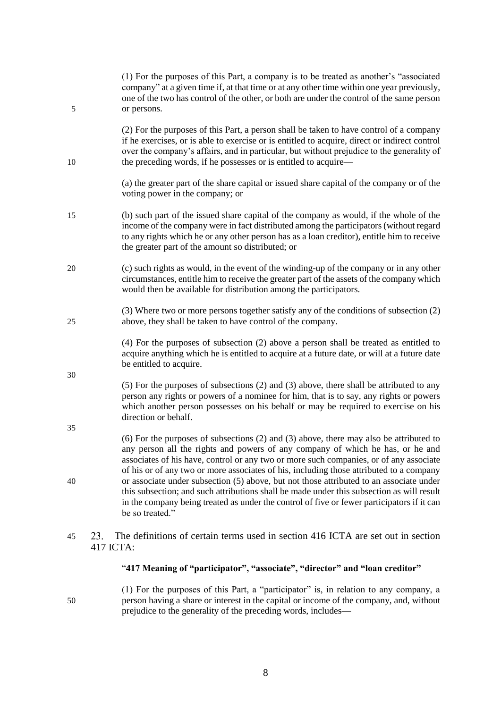| 5  | (1) For the purposes of this Part, a company is to be treated as another's "associated"<br>company" at a given time if, at that time or at any other time within one year previously,<br>one of the two has control of the other, or both are under the control of the same person<br>or persons.                                                                                                |
|----|--------------------------------------------------------------------------------------------------------------------------------------------------------------------------------------------------------------------------------------------------------------------------------------------------------------------------------------------------------------------------------------------------|
| 10 | (2) For the purposes of this Part, a person shall be taken to have control of a company<br>if he exercises, or is able to exercise or is entitled to acquire, direct or indirect control<br>over the company's affairs, and in particular, but without prejudice to the generality of<br>the preceding words, if he possesses or is entitled to acquire—                                         |
|    | (a) the greater part of the share capital or issued share capital of the company or of the<br>voting power in the company; or                                                                                                                                                                                                                                                                    |
| 15 | (b) such part of the issued share capital of the company as would, if the whole of the<br>income of the company were in fact distributed among the participators (without regard<br>to any rights which he or any other person has as a loan creditor), entitle him to receive<br>the greater part of the amount so distributed; or                                                              |
| 20 | (c) such rights as would, in the event of the winding-up of the company or in any other<br>circumstances, entitle him to receive the greater part of the assets of the company which<br>would then be available for distribution among the participators.                                                                                                                                        |
| 25 | (3) Where two or more persons together satisfy any of the conditions of subsection (2)<br>above, they shall be taken to have control of the company.                                                                                                                                                                                                                                             |
|    | (4) For the purposes of subsection (2) above a person shall be treated as entitled to<br>acquire anything which he is entitled to acquire at a future date, or will at a future date<br>be entitled to acquire.                                                                                                                                                                                  |
| 30 | (5) For the purposes of subsections (2) and (3) above, there shall be attributed to any<br>person any rights or powers of a nominee for him, that is to say, any rights or powers<br>which another person possesses on his behalf or may be required to exercise on his<br>direction or behalf.                                                                                                  |
| 35 | $(6)$ For the purposes of subsections $(2)$ and $(3)$ above, there may also be attributed to<br>any person all the rights and powers of any company of which he has, or he and<br>associates of his have, control or any two or more such companies, or of any associate                                                                                                                         |
| 40 | of his or of any two or more associates of his, including those attributed to a company<br>or associate under subsection (5) above, but not those attributed to an associate under<br>this subsection; and such attributions shall be made under this subsection as will result<br>in the company being treated as under the control of five or fewer participators if it can<br>be so treated." |
| 45 | The definitions of certain terms used in section 416 ICTA are set out in section<br>23.<br>417 ICTA:                                                                                                                                                                                                                                                                                             |

# "**417 Meaning of "participator", "associate", "director" and "loan creditor"**

(1) For the purposes of this Part, a "participator" is, in relation to any company, a 50 person having a share or interest in the capital or income of the company, and, without prejudice to the generality of the preceding words, includes—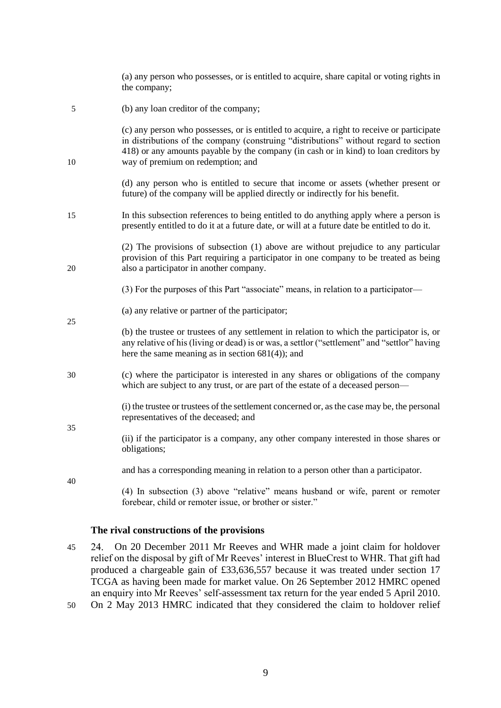|    | (a) any person who possesses, or is entitled to acquire, share capital or voting rights in<br>the company;                                                                                                                                                                                                       |
|----|------------------------------------------------------------------------------------------------------------------------------------------------------------------------------------------------------------------------------------------------------------------------------------------------------------------|
| 5  | (b) any loan creditor of the company;                                                                                                                                                                                                                                                                            |
| 10 | (c) any person who possesses, or is entitled to acquire, a right to receive or participate<br>in distributions of the company (construing "distributions" without regard to section<br>418) or any amounts payable by the company (in cash or in kind) to loan creditors by<br>way of premium on redemption; and |
|    | (d) any person who is entitled to secure that income or assets (whether present or<br>future) of the company will be applied directly or indirectly for his benefit.                                                                                                                                             |
| 15 | In this subsection references to being entitled to do anything apply where a person is<br>presently entitled to do it at a future date, or will at a future date be entitled to do it.                                                                                                                           |
| 20 | (2) The provisions of subsection (1) above are without prejudice to any particular<br>provision of this Part requiring a participator in one company to be treated as being<br>also a participator in another company.                                                                                           |
|    | (3) For the purposes of this Part "associate" means, in relation to a participator-                                                                                                                                                                                                                              |
| 25 | (a) any relative or partner of the participator;                                                                                                                                                                                                                                                                 |
|    | (b) the trustee or trustees of any settlement in relation to which the participator is, or<br>any relative of his (living or dead) is or was, a settlor ("settlement" and "settlor" having<br>here the same meaning as in section $681(4)$ ; and                                                                 |
| 30 | (c) where the participator is interested in any shares or obligations of the company<br>which are subject to any trust, or are part of the estate of a deceased person-                                                                                                                                          |
| 35 | (i) the trustee or trustees of the settlement concerned or, as the case may be, the personal<br>representatives of the deceased; and                                                                                                                                                                             |
|    | (ii) if the participator is a company, any other company interested in those shares or<br>obligations;                                                                                                                                                                                                           |
| 40 | and has a corresponding meaning in relation to a person other than a participator.                                                                                                                                                                                                                               |
|    | (4) In subsection (3) above "relative" means husband or wife, parent or remoter<br>forebear, child or remoter issue, or brother or sister."                                                                                                                                                                      |

# **The rival constructions of the provisions**

- 45 On 20 December 2011 Mr Reeves and WHR made a joint claim for holdover relief on the disposal by gift of Mr Reeves' interest in BlueCrest to WHR. That gift had produced a chargeable gain of £33,636,557 because it was treated under section 17 TCGA as having been made for market value. On 26 September 2012 HMRC opened an enquiry into Mr Reeves' self-assessment tax return for the year ended 5 April 2010.
- 50 On 2 May 2013 HMRC indicated that they considered the claim to holdover relief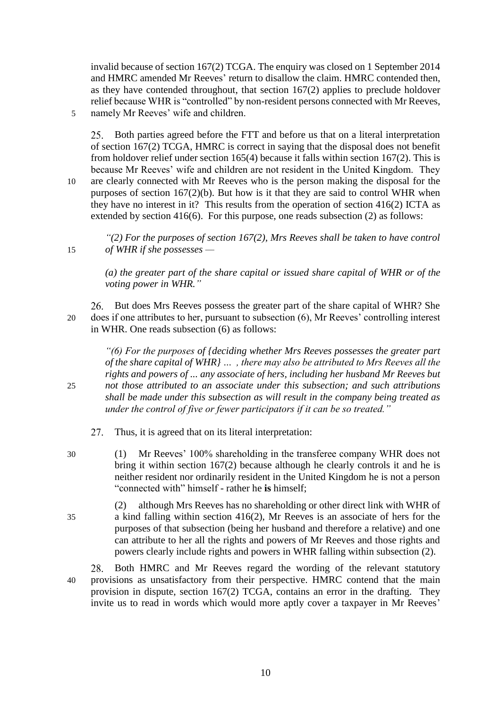invalid because of section 167(2) TCGA. The enquiry was closed on 1 September 2014 and HMRC amended Mr Reeves' return to disallow the claim. HMRC contended then, as they have contended throughout, that section 167(2) applies to preclude holdover relief because WHR is "controlled" by non-resident persons connected with Mr Reeves, 5 namely Mr Reeves' wife and children.

25. Both parties agreed before the FTT and before us that on a literal interpretation of section 167(2) TCGA, HMRC is correct in saying that the disposal does not benefit from holdover relief under section 165(4) because it falls within section 167(2). This is because Mr Reeves' wife and children are not resident in the United Kingdom. They 10 are clearly connected with Mr Reeves who is the person making the disposal for the purposes of section 167(2)(b). But how is it that they are said to control WHR when they have no interest in it? This results from the operation of section 416(2) ICTA as extended by section 416(6). For this purpose, one reads subsection (2) as follows:

*"(2) For the purposes of section 167(2), Mrs Reeves shall be taken to have control*  15 *of WHR if she possesses —*

> *(a) the greater part of the share capital or issued share capital of WHR or of the voting power in WHR."*

26. But does Mrs Reeves possess the greater part of the share capital of WHR? She 20 does if one attributes to her, pursuant to subsection (6), Mr Reeves' controlling interest in WHR. One reads subsection (6) as follows:

*"(6) For the purposes of {deciding whether Mrs Reeves possesses the greater part of the share capital of WHR} … , there may also be attributed to Mrs Reeves all the rights and powers of ... any associate of hers, including her husband Mr Reeves but*  25 *not those attributed to an associate under this subsection; and such attributions shall be made under this subsection as will result in the company being treated as under the control of five or fewer participators if it can be so treated."*

Thus, it is agreed that on its literal interpretation:  $27<sub>1</sub>$ 

30 (1) Mr Reeves' 100% shareholding in the transferee company WHR does not bring it within section 167(2) because although he clearly controls it and he is neither resident nor ordinarily resident in the United Kingdom he is not a person "connected with" himself - rather he **is** himself;

(2) although Mrs Reeves has no shareholding or other direct link with WHR of 35 a kind falling within section 416(2), Mr Reeves is an associate of hers for the purposes of that subsection (being her husband and therefore a relative) and one can attribute to her all the rights and powers of Mr Reeves and those rights and powers clearly include rights and powers in WHR falling within subsection (2).

Both HMRC and Mr Reeves regard the wording of the relevant statutory 28. 40 provisions as unsatisfactory from their perspective. HMRC contend that the main provision in dispute, section 167(2) TCGA, contains an error in the drafting. They invite us to read in words which would more aptly cover a taxpayer in Mr Reeves'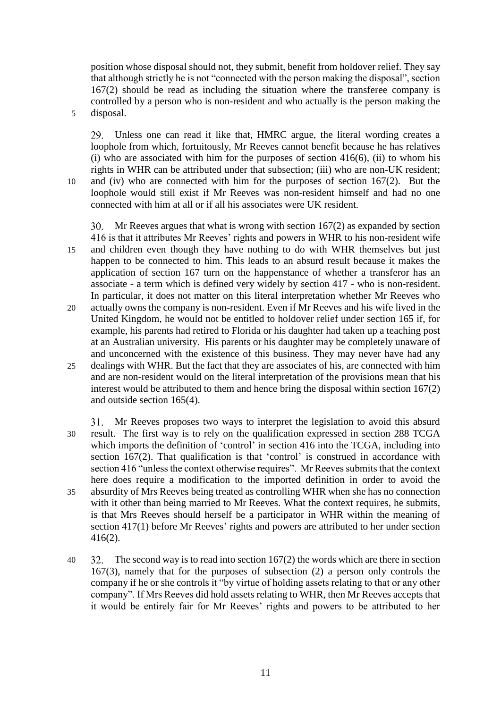position whose disposal should not, they submit, benefit from holdover relief. They say that although strictly he is not "connected with the person making the disposal", section 167(2) should be read as including the situation where the transferee company is controlled by a person who is non-resident and who actually is the person making the 5 disposal.

Unless one can read it like that, HMRC argue, the literal wording creates a loophole from which, fortuitously, Mr Reeves cannot benefit because he has relatives  $(i)$  who are associated with him for the purposes of section 416(6), (ii) to whom his rights in WHR can be attributed under that subsection; (iii) who are non-UK resident; 10 and (iv) who are connected with him for the purposes of section 167(2). But the loophole would still exist if Mr Reeves was non-resident himself and had no one connected with him at all or if all his associates were UK resident.

Mr Reeves argues that what is wrong with section 167(2) as expanded by section 416 is that it attributes Mr Reeves' rights and powers in WHR to his non-resident wife 15 and children even though they have nothing to do with WHR themselves but just happen to be connected to him. This leads to an absurd result because it makes the application of section 167 turn on the happenstance of whether a transferor has an associate - a term which is defined very widely by section 417 - who is non-resident. In particular, it does not matter on this literal interpretation whether Mr Reeves who

- 20 actually owns the company is non-resident. Even if Mr Reeves and his wife lived in the United Kingdom, he would not be entitled to holdover relief under section 165 if, for example, his parents had retired to Florida or his daughter had taken up a teaching post at an Australian university. His parents or his daughter may be completely unaware of and unconcerned with the existence of this business. They may never have had any
- 25 dealings with WHR. But the fact that they are associates of his, are connected with him and are non-resident would on the literal interpretation of the provisions mean that his interest would be attributed to them and hence bring the disposal within section 167(2) and outside section 165(4).

Mr Reeves proposes two ways to interpret the legislation to avoid this absurd 31. 30 result. The first way is to rely on the qualification expressed in section 288 TCGA which imports the definition of 'control' in section 416 into the TCGA, including into section 167(2). That qualification is that 'control' is construed in accordance with section 416 "unless the context otherwise requires". Mr Reeves submits that the context here does require a modification to the imported definition in order to avoid the 35 absurdity of Mrs Reeves being treated as controlling WHR when she has no connection with it other than being married to Mr Reeves. What the context requires, he submits, is that Mrs Reeves should herself be a participator in WHR within the meaning of section 417(1) before Mr Reeves' rights and powers are attributed to her under section 416(2).

40  $32$ . The second way is to read into section 167(2) the words which are there in section 167(3), namely that for the purposes of subsection (2) a person only controls the company if he or she controls it "by virtue of holding assets relating to that or any other company". If Mrs Reeves did hold assets relating to WHR, then Mr Reeves accepts that it would be entirely fair for Mr Reeves' rights and powers to be attributed to her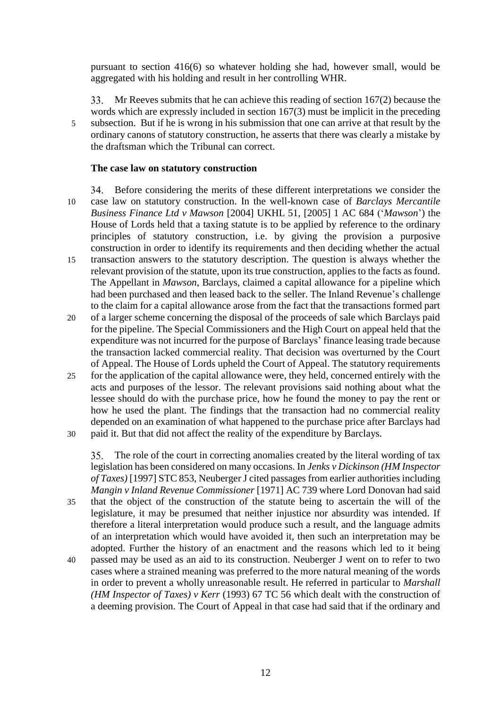pursuant to section 416(6) so whatever holding she had, however small, would be aggregated with his holding and result in her controlling WHR.

Mr Reeves submits that he can achieve this reading of section 167(2) because the words which are expressly included in section 167(3) must be implicit in the preceding 5 subsection. But if he is wrong in his submission that one can arrive at that result by the ordinary canons of statutory construction, he asserts that there was clearly a mistake by the draftsman which the Tribunal can correct.

# **The case law on statutory construction**

Before considering the merits of these different interpretations we consider the 10 case law on statutory construction. In the well-known case of *Barclays Mercantile Business Finance Ltd v Mawson* [2004] UKHL 51, [2005] 1 AC 684 ('*Mawson*') the House of Lords held that a taxing statute is to be applied by reference to the ordinary principles of statutory construction, i.e. by giving the provision a purposive construction in order to identify its requirements and then deciding whether the actual 15 transaction answers to the statutory description. The question is always whether the relevant provision of the statute, upon its true construction, applies to the facts as found. The Appellant in *Mawson*, Barclays, claimed a capital allowance for a pipeline which had been purchased and then leased back to the seller. The Inland Revenue's challenge to the claim for a capital allowance arose from the fact that the transactions formed part

- 20 of a larger scheme concerning the disposal of the proceeds of sale which Barclays paid for the pipeline. The Special Commissioners and the High Court on appeal held that the expenditure was not incurred for the purpose of Barclays' finance leasing trade because the transaction lacked commercial reality. That decision was overturned by the Court of Appeal. The House of Lords upheld the Court of Appeal. The statutory requirements
- 25 for the application of the capital allowance were, they held, concerned entirely with the acts and purposes of the lessor. The relevant provisions said nothing about what the lessee should do with the purchase price, how he found the money to pay the rent or how he used the plant. The findings that the transaction had no commercial reality depended on an examination of what happened to the purchase price after Barclays had 30 paid it. But that did not affect the reality of the expenditure by Barclays.

The role of the court in correcting anomalies created by the literal wording of tax legislation has been considered on many occasions. In *Jenks v Dickinson (HM Inspector of Taxes)* [1997] STC 853, Neuberger J cited passages from earlier authorities including *Mangin v Inland Revenue Commissioner* [1971] AC 739 where Lord Donovan had said 35 that the object of the construction of the statute being to ascertain the will of the legislature, it may be presumed that neither injustice nor absurdity was intended. If therefore a literal interpretation would produce such a result, and the language admits of an interpretation which would have avoided it, then such an interpretation may be adopted. Further the history of an enactment and the reasons which led to it being

40 passed may be used as an aid to its construction. Neuberger J went on to refer to two cases where a strained meaning was preferred to the more natural meaning of the words in order to prevent a wholly unreasonable result. He referred in particular to *Marshall (HM Inspector of Taxes) v Kerr* (1993) 67 TC 56 which dealt with the construction of a deeming provision. The Court of Appeal in that case had said that if the ordinary and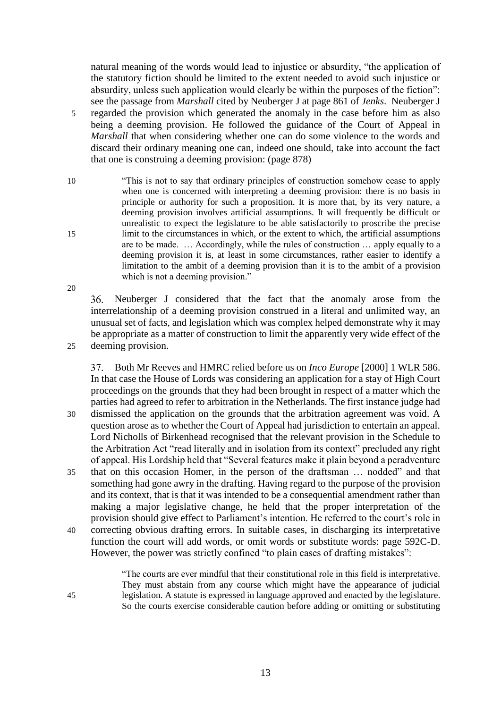natural meaning of the words would lead to injustice or absurdity, "the application of the statutory fiction should be limited to the extent needed to avoid such injustice or absurdity, unless such application would clearly be within the purposes of the fiction": see the passage from *Marshall* cited by Neuberger J at page 861 of *Jenks*. Neuberger J 5 regarded the provision which generated the anomaly in the case before him as also being a deeming provision. He followed the guidance of the Court of Appeal in *Marshall* that when considering whether one can do some violence to the words and discard their ordinary meaning one can, indeed one should, take into account the fact that one is construing a deeming provision: (page 878)

10 "This is not to say that ordinary principles of construction somehow cease to apply when one is concerned with interpreting a deeming provision: there is no basis in principle or authority for such a proposition. It is more that, by its very nature, a deeming provision involves artificial assumptions. It will frequently be difficult or unrealistic to expect the legislature to be able satisfactorily to proscribe the precise 15 limit to the circumstances in which, or the extent to which, the artificial assumptions are to be made. … Accordingly, while the rules of construction … apply equally to a deeming provision it is, at least in some circumstances, rather easier to identify a limitation to the ambit of a deeming provision than it is to the ambit of a provision which is not a deeming provision."

Neuberger J considered that the fact that the anomaly arose from the interrelationship of a deeming provision construed in a literal and unlimited way, an unusual set of facts, and legislation which was complex helped demonstrate why it may be appropriate as a matter of construction to limit the apparently very wide effect of the 25 deeming provision.

Both Mr Reeves and HMRC relied before us on *Inco Europe* [2000] 1 WLR 586. In that case the House of Lords was considering an application for a stay of High Court proceedings on the grounds that they had been brought in respect of a matter which the parties had agreed to refer to arbitration in the Netherlands. The first instance judge had 30 dismissed the application on the grounds that the arbitration agreement was void. A question arose as to whether the Court of Appeal had jurisdiction to entertain an appeal. Lord Nicholls of Birkenhead recognised that the relevant provision in the Schedule to the Arbitration Act "read literally and in isolation from its context" precluded any right of appeal. His Lordship held that "Several features make it plain beyond a peradventure 35 that on this occasion Homer, in the person of the draftsman … nodded" and that something had gone awry in the drafting. Having regard to the purpose of the provision and its context, that is that it was intended to be a consequential amendment rather than making a major legislative change, he held that the proper interpretation of the provision should give effect to Parliament's intention. He referred to the court's role in 40 correcting obvious drafting errors. In suitable cases, in discharging its interpretative function the court will add words, or omit words or substitute words: page 592C-D. However, the power was strictly confined "to plain cases of drafting mistakes":

"The courts are ever mindful that their constitutional role in this field is interpretative. They must abstain from any course which might have the appearance of judicial 45 legislation. A statute is expressed in language approved and enacted by the legislature. So the courts exercise considerable caution before adding or omitting or substituting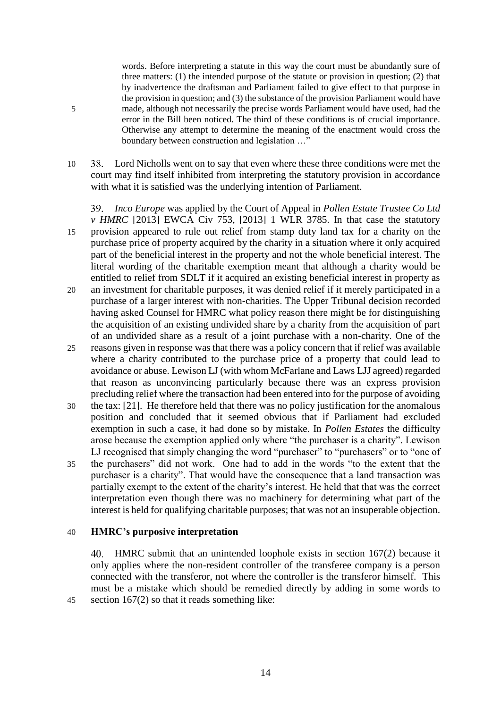words. Before interpreting a statute in this way the court must be abundantly sure of three matters: (1) the intended purpose of the statute or provision in question; (2) that by inadvertence the draftsman and Parliament failed to give effect to that purpose in the provision in question; and (3) the substance of the provision Parliament would have 5 made, although not necessarily the precise words Parliament would have used, had the error in the Bill been noticed. The third of these conditions is of crucial importance. Otherwise any attempt to determine the meaning of the enactment would cross the boundary between construction and legislation …"

10 38. Lord Nicholls went on to say that even where these three conditions were met the court may find itself inhibited from interpreting the statutory provision in accordance with what it is satisfied was the underlying intention of Parliament.

*Inco Europe* was applied by the Court of Appeal in *Pollen Estate Trustee Co Ltd*  39. *v HMRC* [2013] EWCA Civ 753, [2013] 1 WLR 3785. In that case the statutory 15 provision appeared to rule out relief from stamp duty land tax for a charity on the purchase price of property acquired by the charity in a situation where it only acquired part of the beneficial interest in the property and not the whole beneficial interest. The literal wording of the charitable exemption meant that although a charity would be entitled to relief from SDLT if it acquired an existing beneficial interest in property as 20 an investment for charitable purposes, it was denied relief if it merely participated in a purchase of a larger interest with non-charities. The Upper Tribunal decision recorded having asked Counsel for HMRC what policy reason there might be for distinguishing the acquisition of an existing undivided share by a charity from the acquisition of part of an undivided share as a result of a joint purchase with a non-charity. One of the 25 reasons given in response was that there was a policy concern that if relief was available where a charity contributed to the purchase price of a property that could lead to

- avoidance or abuse. Lewison LJ (with whom McFarlane and Laws LJJ agreed) regarded that reason as unconvincing particularly because there was an express provision precluding relief where the transaction had been entered into for the purpose of avoiding
- 30 the tax: [21]. He therefore held that there was no policy justification for the anomalous position and concluded that it seemed obvious that if Parliament had excluded exemption in such a case, it had done so by mistake. In *Pollen Estates* the difficulty arose because the exemption applied only where "the purchaser is a charity". Lewison LJ recognised that simply changing the word "purchaser" to "purchasers" or to "one of
- 35 the purchasers" did not work. One had to add in the words "to the extent that the purchaser is a charity". That would have the consequence that a land transaction was partially exempt to the extent of the charity's interest. He held that that was the correct interpretation even though there was no machinery for determining what part of the interest is held for qualifying charitable purposes; that was not an insuperable objection.

#### 40 **HMRC's purposive interpretation**

HMRC submit that an unintended loophole exists in section 167(2) because it only applies where the non-resident controller of the transferee company is a person connected with the transferor, not where the controller is the transferor himself. This must be a mistake which should be remedied directly by adding in some words to 45 section 167(2) so that it reads something like: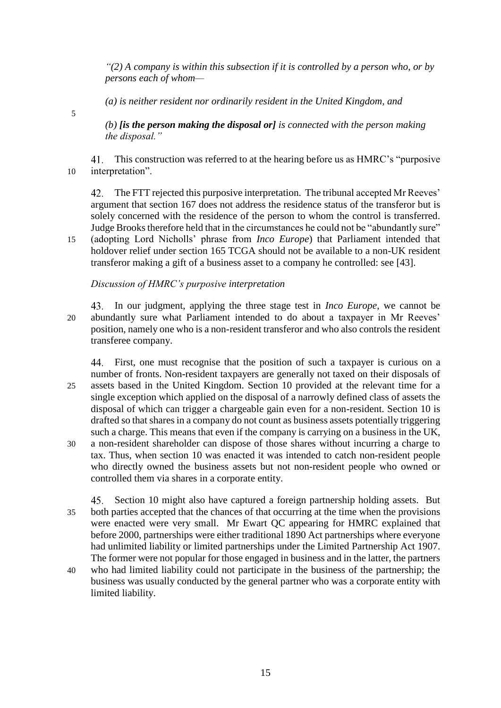*"(2) A company is within this subsection if it is controlled by a person who, or by persons each of whom—*

*(a) is neither resident nor ordinarily resident in the United Kingdom, and*

5

*(b) [is the person making the disposal or] is connected with the person making the disposal."*

This construction was referred to at the hearing before us as HMRC's "purposive 10 interpretation".

The FTT rejected this purposive interpretation. The tribunal accepted Mr Reeves' 42. argument that section 167 does not address the residence status of the transferor but is solely concerned with the residence of the person to whom the control is transferred. Judge Brooks therefore held that in the circumstances he could not be "abundantly sure" 15 (adopting Lord Nicholls' phrase from *Inco Europe*) that Parliament intended that holdover relief under section 165 TCGA should not be available to a non-UK resident transferor making a gift of a business asset to a company he controlled: see [43].

# *Discussion of HMRC's purposive interpretation*

In our judgment, applying the three stage test in *Inco Europe*, we cannot be 20 abundantly sure what Parliament intended to do about a taxpayer in Mr Reeves' position, namely one who is a non-resident transferor and who also controls the resident transferee company.

First, one must recognise that the position of such a taxpayer is curious on a number of fronts. Non-resident taxpayers are generally not taxed on their disposals of 25 assets based in the United Kingdom. Section 10 provided at the relevant time for a single exception which applied on the disposal of a narrowly defined class of assets the disposal of which can trigger a chargeable gain even for a non-resident. Section 10 is drafted so that shares in a company do not count as business assets potentially triggering such a charge. This means that even if the company is carrying on a business in the UK, 30 a non-resident shareholder can dispose of those shares without incurring a charge to tax. Thus, when section 10 was enacted it was intended to catch non-resident people who directly owned the business assets but not non-resident people who owned or controlled them via shares in a corporate entity.

45. Section 10 might also have captured a foreign partnership holding assets. But 35 both parties accepted that the chances of that occurring at the time when the provisions were enacted were very small. Mr Ewart QC appearing for HMRC explained that before 2000, partnerships were either traditional 1890 Act partnerships where everyone had unlimited liability or limited partnerships under the Limited Partnership Act 1907. The former were not popular for those engaged in business and in the latter, the partners

40 who had limited liability could not participate in the business of the partnership; the business was usually conducted by the general partner who was a corporate entity with limited liability.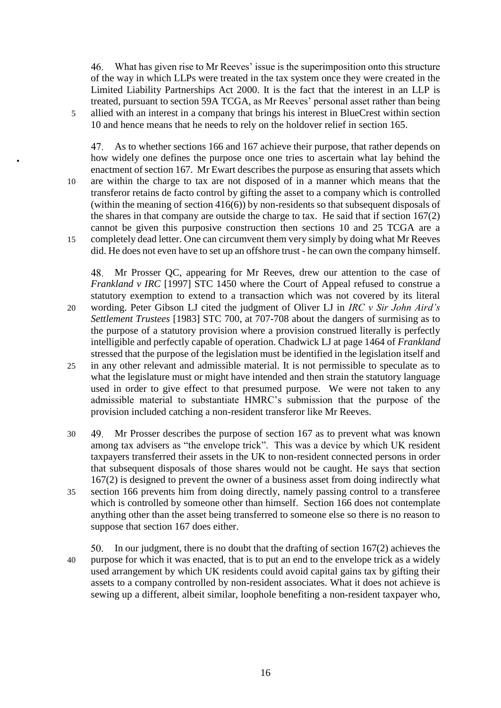What has given rise to Mr Reeves' issue is the superimposition onto this structure of the way in which LLPs were treated in the tax system once they were created in the Limited Liability Partnerships Act 2000. It is the fact that the interest in an LLP is treated, pursuant to section 59A TCGA, as Mr Reeves' personal asset rather than being 5 allied with an interest in a company that brings his interest in BlueCrest within section 10 and hence means that he needs to rely on the holdover relief in section 165.

As to whether sections 166 and 167 achieve their purpose, that rather depends on how widely one defines the purpose once one tries to ascertain what lay behind the enactment of section 167. Mr Ewart describes the purpose as ensuring that assets which 10 are within the charge to tax are not disposed of in a manner which means that the transferor retains de facto control by gifting the asset to a company which is controlled (within the meaning of section 416(6)) by non-residents so that subsequent disposals of the shares in that company are outside the charge to tax. He said that if section 167(2) cannot be given this purposive construction then sections 10 and 25 TCGA are a 15 completely dead letter. One can circumvent them very simply by doing what Mr Reeves did. He does not even have to set up an offshore trust - he can own the company himself.

Mr Prosser QC, appearing for Mr Reeves, drew our attention to the case of *Frankland v IRC* [1997] STC 1450 where the Court of Appeal refused to construe a statutory exemption to extend to a transaction which was not covered by its literal 20 wording. Peter Gibson LJ cited the judgment of Oliver LJ in *IRC v Sir John Aird's Settlement Trustees* [1983] STC 700, at 707-708 about the dangers of surmising as to the purpose of a statutory provision where a provision construed literally is perfectly intelligible and perfectly capable of operation. Chadwick LJ at page 1464 of *Frankland* 

- stressed that the purpose of the legislation must be identified in the legislation itself and 25 in any other relevant and admissible material. It is not permissible to speculate as to what the legislature must or might have intended and then strain the statutory language used in order to give effect to that presumed purpose. We were not taken to any admissible material to substantiate HMRC's submission that the purpose of the provision included catching a non-resident transferor like Mr Reeves.
- 30 Mr Prosser describes the purpose of section 167 as to prevent what was known among tax advisers as "the envelope trick". This was a device by which UK resident taxpayers transferred their assets in the UK to non-resident connected persons in order that subsequent disposals of those shares would not be caught. He says that section 167(2) is designed to prevent the owner of a business asset from doing indirectly what 35 section 166 prevents him from doing directly, namely passing control to a transferee which is controlled by someone other than himself. Section 166 does not contemplate anything other than the asset being transferred to someone else so there is no reason to suppose that section 167 does either.

In our judgment, there is no doubt that the drafting of section 167(2) achieves the 40 purpose for which it was enacted, that is to put an end to the envelope trick as a widely used arrangement by which UK residents could avoid capital gains tax by gifting their assets to a company controlled by non-resident associates. What it does not achieve is sewing up a different, albeit similar, loophole benefiting a non-resident taxpayer who,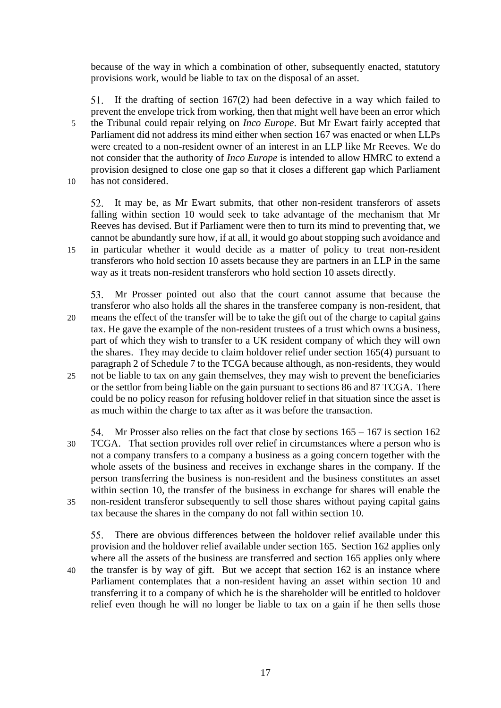because of the way in which a combination of other, subsequently enacted, statutory provisions work, would be liable to tax on the disposal of an asset.

If the drafting of section 167(2) had been defective in a way which failed to prevent the envelope trick from working, then that might well have been an error which 5 the Tribunal could repair relying on *Inco Europe*. But Mr Ewart fairly accepted that Parliament did not address its mind either when section 167 was enacted or when LLPs were created to a non-resident owner of an interest in an LLP like Mr Reeves. We do not consider that the authority of *Inco Europe* is intended to allow HMRC to extend a provision designed to close one gap so that it closes a different gap which Parliament 10 has not considered.

52. It may be, as Mr Ewart submits, that other non-resident transferors of assets falling within section 10 would seek to take advantage of the mechanism that Mr Reeves has devised. But if Parliament were then to turn its mind to preventing that, we cannot be abundantly sure how, if at all, it would go about stopping such avoidance and 15 in particular whether it would decide as a matter of policy to treat non-resident transferors who hold section 10 assets because they are partners in an LLP in the same way as it treats non-resident transferors who hold section 10 assets directly.

Mr Prosser pointed out also that the court cannot assume that because the transferor who also holds all the shares in the transferee company is non-resident, that 20 means the effect of the transfer will be to take the gift out of the charge to capital gains tax. He gave the example of the non-resident trustees of a trust which owns a business, part of which they wish to transfer to a UK resident company of which they will own the shares. They may decide to claim holdover relief under section 165(4) pursuant to paragraph 2 of Schedule 7 to the TCGA because although, as non-residents, they would 25 not be liable to tax on any gain themselves, they may wish to prevent the beneficiaries or the settlor from being liable on the gain pursuant to sections 86 and 87 TCGA. There could be no policy reason for refusing holdover relief in that situation since the asset is as much within the charge to tax after as it was before the transaction.

Mr Prosser also relies on the fact that close by sections 165 – 167 is section 162 30 TCGA. That section provides roll over relief in circumstances where a person who is not a company transfers to a company a business as a going concern together with the whole assets of the business and receives in exchange shares in the company. If the person transferring the business is non-resident and the business constitutes an asset within section 10, the transfer of the business in exchange for shares will enable the 35 non-resident transferor subsequently to sell those shares without paying capital gains tax because the shares in the company do not fall within section 10.

There are obvious differences between the holdover relief available under this  $55.$ provision and the holdover relief available under section 165. Section 162 applies only where all the assets of the business are transferred and section 165 applies only where 40 the transfer is by way of gift. But we accept that section 162 is an instance where Parliament contemplates that a non-resident having an asset within section 10 and transferring it to a company of which he is the shareholder will be entitled to holdover

relief even though he will no longer be liable to tax on a gain if he then sells those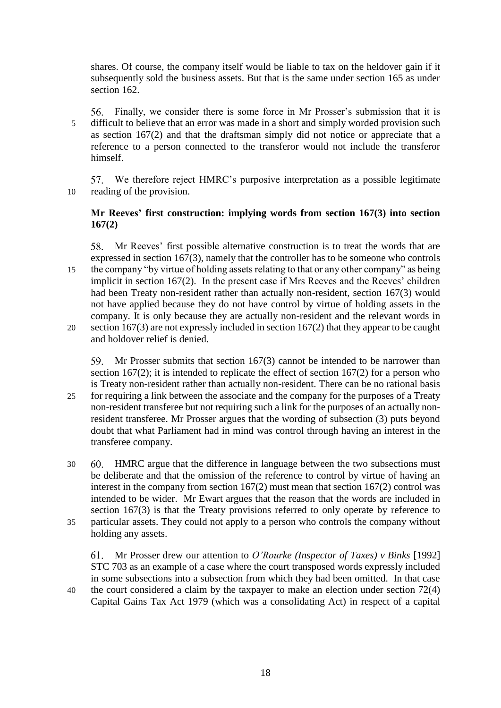shares. Of course, the company itself would be liable to tax on the heldover gain if it subsequently sold the business assets. But that is the same under section 165 as under section 162.

Finally, we consider there is some force in Mr Prosser's submission that it is 5 difficult to believe that an error was made in a short and simply worded provision such as section 167(2) and that the draftsman simply did not notice or appreciate that a reference to a person connected to the transferor would not include the transferor himself.

We therefore reject HMRC's purposive interpretation as a possible legitimate 10 reading of the provision.

# **Mr Reeves' first construction: implying words from section 167(3) into section 167(2)**

Mr Reeves' first possible alternative construction is to treat the words that are expressed in section 167(3), namely that the controller has to be someone who controls 15 the company "by virtue of holding assets relating to that or any other company" as being implicit in section 167(2). In the present case if Mrs Reeves and the Reeves' children had been Treaty non-resident rather than actually non-resident, section 167(3) would not have applied because they do not have control by virtue of holding assets in the company. It is only because they are actually non-resident and the relevant words in 20 section 167(3) are not expressly included in section 167(2) that they appear to be caught and holdover relief is denied.

Mr Prosser submits that section 167(3) cannot be intended to be narrower than section 167(2); it is intended to replicate the effect of section 167(2) for a person who is Treaty non-resident rather than actually non-resident. There can be no rational basis 25 for requiring a link between the associate and the company for the purposes of a Treaty non-resident transferee but not requiring such a link for the purposes of an actually nonresident transferee. Mr Prosser argues that the wording of subsection (3) puts beyond

doubt that what Parliament had in mind was control through having an interest in the

30 HMRC argue that the difference in language between the two subsections must be deliberate and that the omission of the reference to control by virtue of having an interest in the company from section 167(2) must mean that section 167(2) control was intended to be wider. Mr Ewart argues that the reason that the words are included in section 167(3) is that the Treaty provisions referred to only operate by reference to 35 particular assets. They could not apply to a person who controls the company without holding any assets.

transferee company.

Mr Prosser drew our attention to *O'Rourke (Inspector of Taxes) v Binks* [1992] STC 703 as an example of a case where the court transposed words expressly included in some subsections into a subsection from which they had been omitted. In that case 40 the court considered a claim by the taxpayer to make an election under section 72(4)

Capital Gains Tax Act 1979 (which was a consolidating Act) in respect of a capital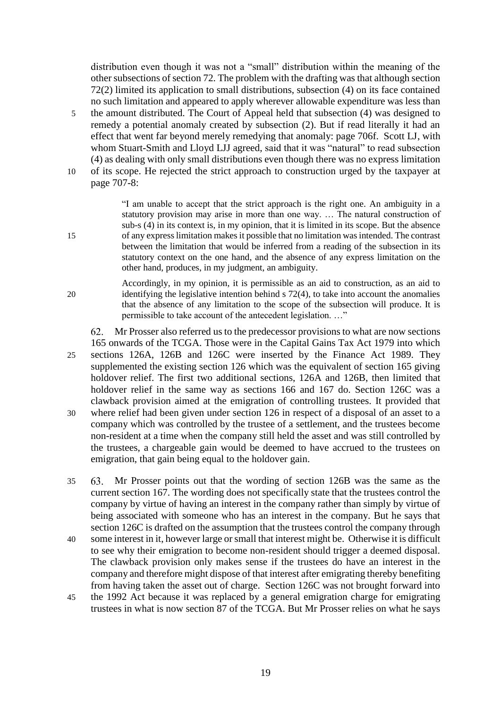distribution even though it was not a "small" distribution within the meaning of the other subsections of section 72. The problem with the drafting was that although section 72(2) limited its application to small distributions, subsection (4) on its face contained no such limitation and appeared to apply wherever allowable expenditure was less than

- 5 the amount distributed. The Court of Appeal held that subsection (4) was designed to remedy a potential anomaly created by subsection (2). But if read literally it had an effect that went far beyond merely remedying that anomaly: page 706f. Scott LJ, with whom Stuart-Smith and Lloyd LJJ agreed, said that it was "natural" to read subsection (4) as dealing with only small distributions even though there was no express limitation 10 of its scope. He rejected the strict approach to construction urged by the taxpayer at
- page 707-8:

"I am unable to accept that the strict approach is the right one. An ambiguity in a statutory provision may arise in more than one way. … The natural construction of sub-s (4) in its context is, in my opinion, that it is limited in its scope. But the absence 15 of any express limitation makes it possible that no limitation was intended. The contrast between the limitation that would be inferred from a reading of the subsection in its statutory context on the one hand, and the absence of any express limitation on the other hand, produces, in my judgment, an ambiguity.

Accordingly, in my opinion, it is permissible as an aid to construction, as an aid to 20 identifying the legislative intention behind s 72(4), to take into account the anomalies that the absence of any limitation to the scope of the subsection will produce. It is permissible to take account of the antecedent legislation. …"

62. Mr Prosser also referred us to the predecessor provisions to what are now sections 165 onwards of the TCGA. Those were in the Capital Gains Tax Act 1979 into which 25 sections 126A, 126B and 126C were inserted by the Finance Act 1989. They supplemented the existing section 126 which was the equivalent of section 165 giving holdover relief. The first two additional sections, 126A and 126B, then limited that holdover relief in the same way as sections 166 and 167 do. Section 126C was a clawback provision aimed at the emigration of controlling trustees. It provided that 30 where relief had been given under section 126 in respect of a disposal of an asset to a company which was controlled by the trustee of a settlement, and the trustees become non-resident at a time when the company still held the asset and was still controlled by the trustees, a chargeable gain would be deemed to have accrued to the trustees on emigration, that gain being equal to the holdover gain.

35 Mr Prosser points out that the wording of section 126B was the same as the current section 167. The wording does not specifically state that the trustees control the company by virtue of having an interest in the company rather than simply by virtue of being associated with someone who has an interest in the company. But he says that section 126C is drafted on the assumption that the trustees control the company through

- 40 some interest in it, however large or small that interest might be. Otherwise it is difficult to see why their emigration to become non-resident should trigger a deemed disposal. The clawback provision only makes sense if the trustees do have an interest in the company and therefore might dispose of that interest after emigrating thereby benefiting from having taken the asset out of charge. Section 126C was not brought forward into
- 45 the 1992 Act because it was replaced by a general emigration charge for emigrating trustees in what is now section 87 of the TCGA. But Mr Prosser relies on what he says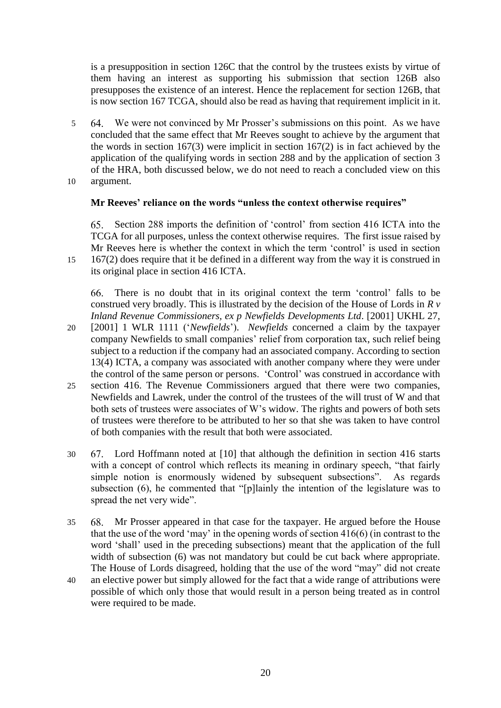is a presupposition in section 126C that the control by the trustees exists by virtue of them having an interest as supporting his submission that section 126B also presupposes the existence of an interest. Hence the replacement for section 126B, that is now section 167 TCGA, should also be read as having that requirement implicit in it.

- 5 We were not convinced by Mr Prosser's submissions on this point. As we have concluded that the same effect that Mr Reeves sought to achieve by the argument that the words in section 167(3) were implicit in section 167(2) is in fact achieved by the application of the qualifying words in section 288 and by the application of section 3 of the HRA, both discussed below, we do not need to reach a concluded view on this 10 argument.
- 

# **Mr Reeves' reliance on the words "unless the context otherwise requires"**

Section 288 imports the definition of 'control' from section 416 ICTA into the TCGA for all purposes, unless the context otherwise requires. The first issue raised by Mr Reeves here is whether the context in which the term 'control' is used in section 15 167(2) does require that it be defined in a different way from the way it is construed in its original place in section 416 ICTA.

There is no doubt that in its original context the term 'control' falls to be 66. construed very broadly. This is illustrated by the decision of the House of Lords in *R v Inland Revenue Commissioners, ex p Newfields Developments Ltd*. [2001] UKHL 27,

- 20 [2001] 1 WLR 1111 ('*Newfields*'). *Newfields* concerned a claim by the taxpayer company Newfields to small companies' relief from corporation tax, such relief being subject to a reduction if the company had an associated company. According to section 13(4) ICTA, a company was associated with another company where they were under the control of the same person or persons. 'Control' was construed in accordance with 25 section 416. The Revenue Commissioners argued that there were two companies,
- Newfields and Lawrek, under the control of the trustees of the will trust of W and that both sets of trustees were associates of W's widow. The rights and powers of both sets of trustees were therefore to be attributed to her so that she was taken to have control of both companies with the result that both were associated.
- 30 Lord Hoffmann noted at [10] that although the definition in section 416 starts with a concept of control which reflects its meaning in ordinary speech, "that fairly simple notion is enormously widened by subsequent subsections". As regards subsection (6), he commented that "[p]lainly the intention of the legislature was to spread the net very wide".
- 35 Mr Prosser appeared in that case for the taxpayer. He argued before the House that the use of the word 'may' in the opening words of section 416(6) (in contrast to the word 'shall' used in the preceding subsections) meant that the application of the full width of subsection (6) was not mandatory but could be cut back where appropriate. The House of Lords disagreed, holding that the use of the word "may" did not create
- 40 an elective power but simply allowed for the fact that a wide range of attributions were possible of which only those that would result in a person being treated as in control were required to be made.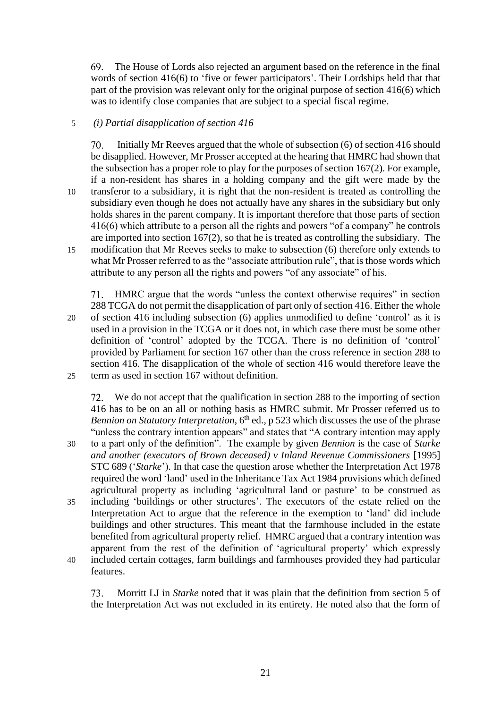69. The House of Lords also rejected an argument based on the reference in the final words of section 416(6) to 'five or fewer participators'. Their Lordships held that that part of the provision was relevant only for the original purpose of section 416(6) which was to identify close companies that are subject to a special fiscal regime.

# 5 *(i) Partial disapplication of section 416*

Initially Mr Reeves argued that the whole of subsection (6) of section 416 should  $70.$ be disapplied. However, Mr Prosser accepted at the hearing that HMRC had shown that the subsection has a proper role to play for the purposes of section 167(2). For example, if a non-resident has shares in a holding company and the gift were made by the 10 transferor to a subsidiary, it is right that the non-resident is treated as controlling the subsidiary even though he does not actually have any shares in the subsidiary but only holds shares in the parent company. It is important therefore that those parts of section 416(6) which attribute to a person all the rights and powers "of a company" he controls are imported into section 167(2), so that he is treated as controlling the subsidiary. The 15 modification that Mr Reeves seeks to make to subsection (6) therefore only extends to what Mr Prosser referred to as the "associate attribution rule", that is those words which attribute to any person all the rights and powers "of any associate" of his.

HMRC argue that the words "unless the context otherwise requires" in section 288 TCGA do not permit the disapplication of part only of section 416. Either the whole 20 of section 416 including subsection (6) applies unmodified to define 'control' as it is used in a provision in the TCGA or it does not, in which case there must be some other definition of 'control' adopted by the TCGA. There is no definition of 'control' provided by Parliament for section 167 other than the cross reference in section 288 to section 416. The disapplication of the whole of section 416 would therefore leave the 25 term as used in section 167 without definition.

We do not accept that the qualification in section 288 to the importing of section 416 has to be on an all or nothing basis as HMRC submit. Mr Prosser referred us to *Bennion on Statutory Interpretation*, 6<sup>th</sup> ed., p 523 which discusses the use of the phrase "unless the contrary intention appears" and states that "A contrary intention may apply 30 to a part only of the definition". The example by given *Bennion* is the case of *Starke and another (executors of Brown deceased) v Inland Revenue Commissioners* [1995] STC 689 ('*Starke*'). In that case the question arose whether the Interpretation Act 1978 required the word 'land' used in the Inheritance Tax Act 1984 provisions which defined agricultural property as including 'agricultural land or pasture' to be construed as 35 including 'buildings or other structures'. The executors of the estate relied on the Interpretation Act to argue that the reference in the exemption to 'land' did include buildings and other structures. This meant that the farmhouse included in the estate benefited from agricultural property relief. HMRC argued that a contrary intention was apparent from the rest of the definition of 'agricultural property' which expressly 40 included certain cottages, farm buildings and farmhouses provided they had particular features.

Morritt LJ in *Starke* noted that it was plain that the definition from section 5 of 73. the Interpretation Act was not excluded in its entirety. He noted also that the form of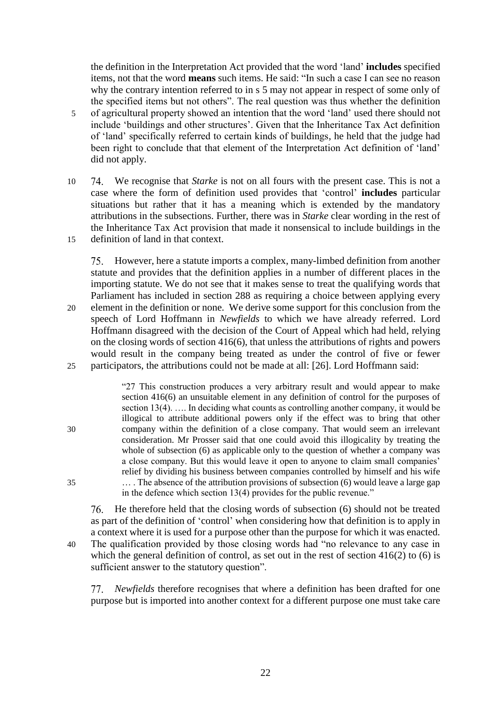the definition in the Interpretation Act provided that the word 'land' **includes** specified items, not that the word **means** such items. He said: "In such a case I can see no reason why the contrary intention referred to in s 5 may not appear in respect of some only of the specified items but not others". The real question was thus whether the definition 5 of agricultural property showed an intention that the word 'land' used there should not include 'buildings and other structures'. Given that the Inheritance Tax Act definition of 'land' specifically referred to certain kinds of buildings, he held that the judge had been right to conclude that that element of the Interpretation Act definition of 'land' did not apply.

10 We recognise that *Starke* is not on all fours with the present case. This is not a case where the form of definition used provides that 'control' **includes** particular situations but rather that it has a meaning which is extended by the mandatory attributions in the subsections. Further, there was in *Starke* clear wording in the rest of the Inheritance Tax Act provision that made it nonsensical to include buildings in the 15 definition of land in that context.

However, here a statute imports a complex, many-limbed definition from another statute and provides that the definition applies in a number of different places in the importing statute. We do not see that it makes sense to treat the qualifying words that Parliament has included in section 288 as requiring a choice between applying every 20 element in the definition or none. We derive some support for this conclusion from the speech of Lord Hoffmann in *Newfields* to which we have already referred. Lord Hoffmann disagreed with the decision of the Court of Appeal which had held, relying on the closing words of section 416(6), that unless the attributions of rights and powers would result in the company being treated as under the control of five or fewer 25 participators, the attributions could not be made at all: [26]. Lord Hoffmann said:

"27 This construction produces a very arbitrary result and would appear to make section 416(6) an unsuitable element in any definition of control for the purposes of section 13(4). …. In deciding what counts as controlling another company, it would be illogical to attribute additional powers only if the effect was to bring that other 30 company within the definition of a close company. That would seem an irrelevant consideration. Mr Prosser said that one could avoid this illogicality by treating the whole of subsection (6) as applicable only to the question of whether a company was a close company. But this would leave it open to anyone to claim small companies' relief by dividing his business between companies controlled by himself and his wife 35 … . The absence of the attribution provisions of subsection (6) would leave a large gap in the defence which section 13(4) provides for the public revenue."

He therefore held that the closing words of subsection (6) should not be treated as part of the definition of 'control' when considering how that definition is to apply in a context where it is used for a purpose other than the purpose for which it was enacted. 40 The qualification provided by those closing words had "no relevance to any case in which the general definition of control, as set out in the rest of section 416(2) to (6) is sufficient answer to the statutory question".

*Newfields* therefore recognises that where a definition has been drafted for one purpose but is imported into another context for a different purpose one must take care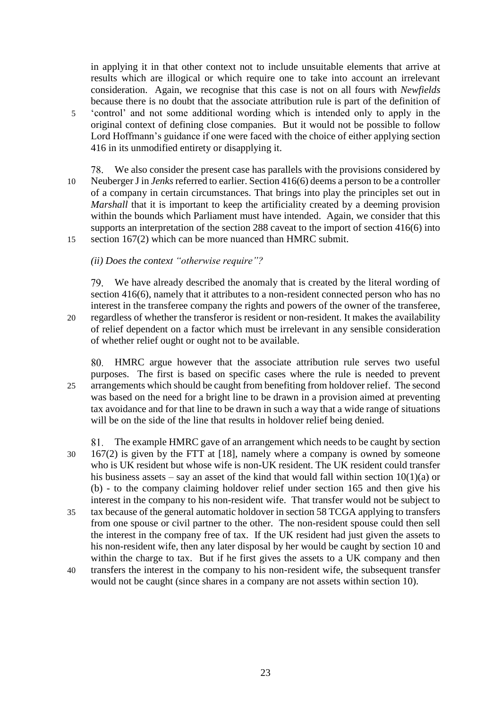in applying it in that other context not to include unsuitable elements that arrive at results which are illogical or which require one to take into account an irrelevant consideration. Again, we recognise that this case is not on all fours with *Newfields*  because there is no doubt that the associate attribution rule is part of the definition of 5 'control' and not some additional wording which is intended only to apply in the original context of defining close companies. But it would not be possible to follow Lord Hoffmann's guidance if one were faced with the choice of either applying section 416 in its unmodified entirety or disapplying it.

We also consider the present case has parallels with the provisions considered by 10 Neuberger J in *Jenks* referred to earlier. Section 416(6) deems a person to be a controller of a company in certain circumstances. That brings into play the principles set out in *Marshall* that it is important to keep the artificiality created by a deeming provision within the bounds which Parliament must have intended. Again, we consider that this supports an interpretation of the section 288 caveat to the import of section 416(6) into 15 section 167(2) which can be more nuanced than HMRC submit.

*(ii) Does the context "otherwise require"?*

We have already described the anomaly that is created by the literal wording of section 416(6), namely that it attributes to a non-resident connected person who has no interest in the transferee company the rights and powers of the owner of the transferee, 20 regardless of whether the transferor is resident or non-resident. It makes the availability of relief dependent on a factor which must be irrelevant in any sensible consideration of whether relief ought or ought not to be available.

HMRC argue however that the associate attribution rule serves two useful purposes. The first is based on specific cases where the rule is needed to prevent 25 arrangements which should be caught from benefiting from holdover relief. The second was based on the need for a bright line to be drawn in a provision aimed at preventing tax avoidance and for that line to be drawn in such a way that a wide range of situations will be on the side of the line that results in holdover relief being denied.

The example HMRC gave of an arrangement which needs to be caught by section 81. 30 167(2) is given by the FTT at [18], namely where a company is owned by someone who is UK resident but whose wife is non-UK resident. The UK resident could transfer his business assets – say an asset of the kind that would fall within section  $10(1)(a)$  or (b) - to the company claiming holdover relief under section 165 and then give his interest in the company to his non-resident wife. That transfer would not be subject to 35 tax because of the general automatic holdover in section 58 TCGA applying to transfers from one spouse or civil partner to the other. The non-resident spouse could then sell the interest in the company free of tax. If the UK resident had just given the assets to his non-resident wife, then any later disposal by her would be caught by section 10 and within the charge to tax. But if he first gives the assets to a UK company and then

40 transfers the interest in the company to his non-resident wife, the subsequent transfer would not be caught (since shares in a company are not assets within section 10).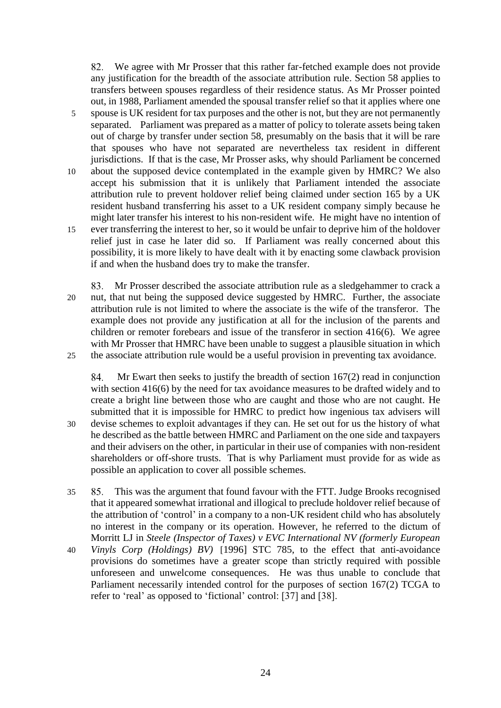We agree with Mr Prosser that this rather far-fetched example does not provide any justification for the breadth of the associate attribution rule. Section 58 applies to transfers between spouses regardless of their residence status. As Mr Prosser pointed out, in 1988, Parliament amended the spousal transfer relief so that it applies where one

- 5 spouse is UK resident for tax purposes and the other is not, but they are not permanently separated. Parliament was prepared as a matter of policy to tolerate assets being taken out of charge by transfer under section 58, presumably on the basis that it will be rare that spouses who have not separated are nevertheless tax resident in different jurisdictions. If that is the case, Mr Prosser asks, why should Parliament be concerned 10 about the supposed device contemplated in the example given by HMRC? We also accept his submission that it is unlikely that Parliament intended the associate attribution rule to prevent holdover relief being claimed under section 165 by a UK
- might later transfer his interest to his non-resident wife. He might have no intention of 15 ever transferring the interest to her, so it would be unfair to deprive him of the holdover relief just in case he later did so. If Parliament was really concerned about this possibility, it is more likely to have dealt with it by enacting some clawback provision if and when the husband does try to make the transfer.

resident husband transferring his asset to a UK resident company simply because he

Mr Prosser described the associate attribution rule as a sledgehammer to crack a 20 nut, that nut being the supposed device suggested by HMRC. Further, the associate attribution rule is not limited to where the associate is the wife of the transferor. The example does not provide any justification at all for the inclusion of the parents and children or remoter forebears and issue of the transferor in section 416(6). We agree with Mr Prosser that HMRC have been unable to suggest a plausible situation in which 25 the associate attribution rule would be a useful provision in preventing tax avoidance.

84. Mr Ewart then seeks to justify the breadth of section 167(2) read in conjunction with section 416(6) by the need for tax avoidance measures to be drafted widely and to create a bright line between those who are caught and those who are not caught. He submitted that it is impossible for HMRC to predict how ingenious tax advisers will 30 devise schemes to exploit advantages if they can. He set out for us the history of what he described as the battle between HMRC and Parliament on the one side and taxpayers and their advisers on the other, in particular in their use of companies with non-resident shareholders or off-shore trusts. That is why Parliament must provide for as wide as possible an application to cover all possible schemes.

- 35 This was the argument that found favour with the FTT. Judge Brooks recognised that it appeared somewhat irrational and illogical to preclude holdover relief because of the attribution of 'control' in a company to a non-UK resident child who has absolutely no interest in the company or its operation. However, he referred to the dictum of Morritt LJ in *Steele (Inspector of Taxes) v EVC International NV (formerly European*
- 40 *Vinyls Corp (Holdings) BV)* [1996] STC 785, to the effect that anti-avoidance provisions do sometimes have a greater scope than strictly required with possible unforeseen and unwelcome consequences. He was thus unable to conclude that Parliament necessarily intended control for the purposes of section 167(2) TCGA to refer to 'real' as opposed to 'fictional' control: [37] and [38].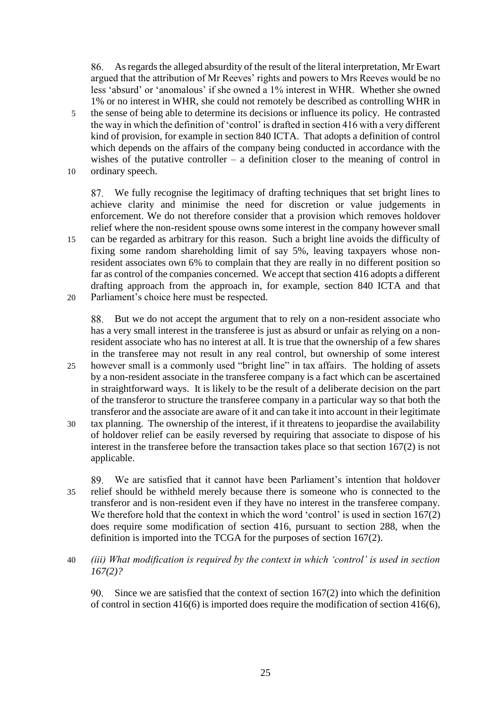As regards the alleged absurdity of the result of the literal interpretation, Mr Ewart argued that the attribution of Mr Reeves' rights and powers to Mrs Reeves would be no less 'absurd' or 'anomalous' if she owned a 1% interest in WHR. Whether she owned 1% or no interest in WHR, she could not remotely be described as controlling WHR in 5 the sense of being able to determine its decisions or influence its policy. He contrasted the way in which the definition of 'control' is drafted in section 416 with a very different kind of provision, for example in section 840 ICTA. That adopts a definition of control which depends on the affairs of the company being conducted in accordance with the wishes of the putative controller – a definition closer to the meaning of control in 10 ordinary speech.

We fully recognise the legitimacy of drafting techniques that set bright lines to achieve clarity and minimise the need for discretion or value judgements in enforcement. We do not therefore consider that a provision which removes holdover relief where the non-resident spouse owns some interest in the company however small 15 can be regarded as arbitrary for this reason. Such a bright line avoids the difficulty of fixing some random shareholding limit of say 5%, leaving taxpayers whose nonresident associates own 6% to complain that they are really in no different position so far as control of the companies concerned. We accept that section 416 adopts a different drafting approach from the approach in, for example, section 840 ICTA and that 20 Parliament's choice here must be respected.

88. But we do not accept the argument that to rely on a non-resident associate who has a very small interest in the transferee is just as absurd or unfair as relying on a nonresident associate who has no interest at all. It is true that the ownership of a few shares in the transferee may not result in any real control, but ownership of some interest

- 25 however small is a commonly used "bright line" in tax affairs. The holding of assets by a non-resident associate in the transferee company is a fact which can be ascertained in straightforward ways. It is likely to be the result of a deliberate decision on the part of the transferor to structure the transferee company in a particular way so that both the transferor and the associate are aware of it and can take it into account in their legitimate
- 30 tax planning. The ownership of the interest, if it threatens to jeopardise the availability of holdover relief can be easily reversed by requiring that associate to dispose of his interest in the transferee before the transaction takes place so that section 167(2) is not applicable.

We are satisfied that it cannot have been Parliament's intention that holdover 89. L 35 relief should be withheld merely because there is someone who is connected to the transferor and is non-resident even if they have no interest in the transferee company. We therefore hold that the context in which the word 'control' is used in section 167(2) does require some modification of section 416, pursuant to section 288, when the definition is imported into the TCGA for the purposes of section 167(2).

40 *(iii) What modification is required by the context in which 'control' is used in section 167(2)?*

90. Since we are satisfied that the context of section  $167(2)$  into which the definition of control in section 416(6) is imported does require the modification of section 416(6),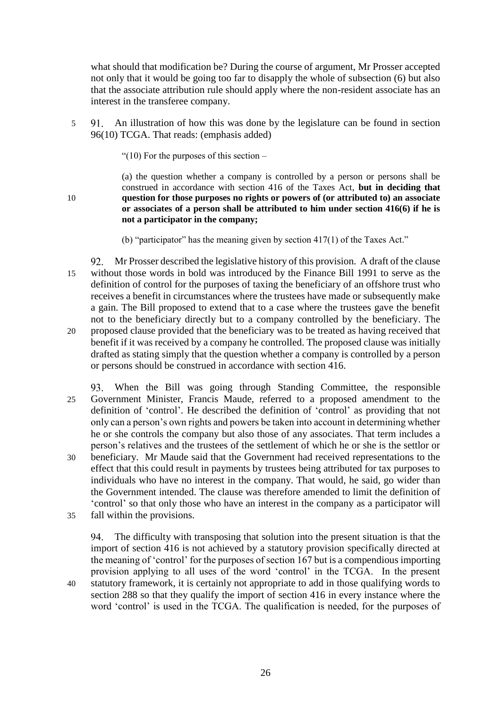what should that modification be? During the course of argument, Mr Prosser accepted not only that it would be going too far to disapply the whole of subsection (6) but also that the associate attribution rule should apply where the non-resident associate has an interest in the transferee company.

5 An illustration of how this was done by the legislature can be found in section 96(10) TCGA. That reads: (emphasis added)

"(10) For the purposes of this section  $-$ 

(a) the question whether a company is controlled by a person or persons shall be construed in accordance with section 416 of the Taxes Act, **but in deciding that**  10 **question for those purposes no rights or powers of (or attributed to) an associate or associates of a person shall be attributed to him under section 416(6) if he is not a participator in the company;** 

(b) "participator" has the meaning given by section 417(1) of the Taxes Act."

Mr Prosser described the legislative history of this provision. A draft of the clause 15 without those words in bold was introduced by the Finance Bill 1991 to serve as the definition of control for the purposes of taxing the beneficiary of an offshore trust who receives a benefit in circumstances where the trustees have made or subsequently make a gain. The Bill proposed to extend that to a case where the trustees gave the benefit not to the beneficiary directly but to a company controlled by the beneficiary. The 20 proposed clause provided that the beneficiary was to be treated as having received that benefit if it was received by a company he controlled. The proposed clause was initially drafted as stating simply that the question whether a company is controlled by a person or persons should be construed in accordance with section 416.

When the Bill was going through Standing Committee, the responsible 25 Government Minister, Francis Maude, referred to a proposed amendment to the definition of 'control'. He described the definition of 'control' as providing that not only can a person's own rights and powers be taken into account in determining whether he or she controls the company but also those of any associates. That term includes a person's relatives and the trustees of the settlement of which he or she is the settlor or 30 beneficiary. Mr Maude said that the Government had received representations to the effect that this could result in payments by trustees being attributed for tax purposes to individuals who have no interest in the company. That would, he said, go wider than the Government intended. The clause was therefore amended to limit the definition of 'control' so that only those who have an interest in the company as a participator will 35 fall within the provisions.

94. The difficulty with transposing that solution into the present situation is that the import of section 416 is not achieved by a statutory provision specifically directed at the meaning of 'control' for the purposes of section 167 but is a compendious importing provision applying to all uses of the word 'control' in the TCGA. In the present 40 statutory framework, it is certainly not appropriate to add in those qualifying words to section 288 so that they qualify the import of section 416 in every instance where the word 'control' is used in the TCGA. The qualification is needed, for the purposes of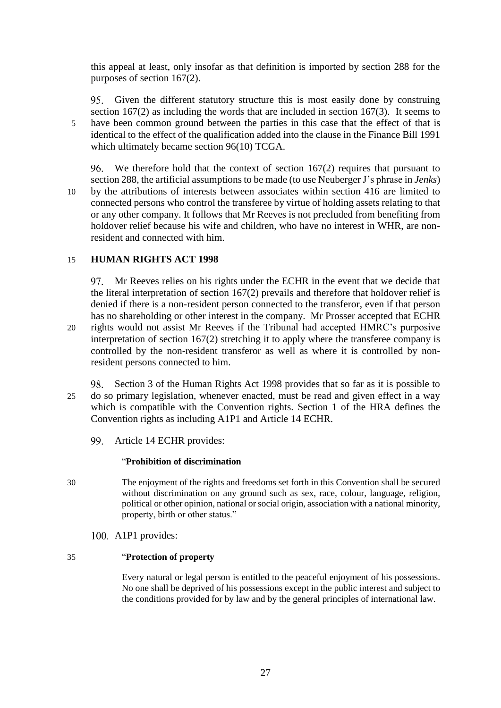this appeal at least, only insofar as that definition is imported by section 288 for the purposes of section 167(2).

<span id="page-26-0"></span>Given the different statutory structure this is most easily done by construing section 167(2) as including the words that are included in section 167(3). It seems to 5 have been common ground between the parties in this case that the effect of that is identical to the effect of the qualification added into the clause in the Finance Bill 1991 which ultimately became section 96(10) TCGA.

<span id="page-26-1"></span>We therefore hold that the context of section 167(2) requires that pursuant to section 288, the artificial assumptions to be made (to use Neuberger J's phrase in *Jenks*) 10 by the attributions of interests between associates within section 416 are limited to connected persons who control the transferee by virtue of holding assets relating to that or any other company. It follows that Mr Reeves is not precluded from benefiting from holdover relief because his wife and children, who have no interest in WHR, are nonresident and connected with him.

# 15 **HUMAN RIGHTS ACT 1998**

Mr Reeves relies on his rights under the ECHR in the event that we decide that the literal interpretation of section 167(2) prevails and therefore that holdover relief is denied if there is a non-resident person connected to the transferor, even if that person has no shareholding or other interest in the company. Mr Prosser accepted that ECHR 20 rights would not assist Mr Reeves if the Tribunal had accepted HMRC's purposive interpretation of section 167(2) stretching it to apply where the transferee company is controlled by the non-resident transferor as well as where it is controlled by nonresident persons connected to him.

- Section 3 of the Human Rights Act 1998 provides that so far as it is possible to 98. 25 do so primary legislation, whenever enacted, must be read and given effect in a way which is compatible with the Convention rights. Section 1 of the HRA defines the Convention rights as including A1P1 and Article 14 ECHR.
	- 99. Article 14 ECHR provides:

# "**Prohibition of discrimination**

- 30 The enjoyment of the rights and freedoms set forth in this Convention shall be secured without discrimination on any ground such as sex, race, colour, language, religion, political or other opinion, national or social origin, association with a national minority, property, birth or other status."
	- A1P1 provides:

# 35 "**Protection of property**

Every natural or legal person is entitled to the peaceful enjoyment of his possessions. No one shall be deprived of his possessions except in the public interest and subject to the conditions provided for by law and by the general principles of international law.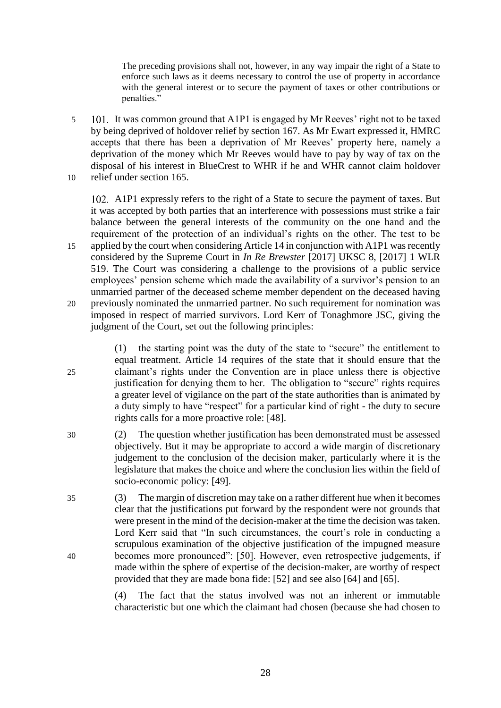The preceding provisions shall not, however, in any way impair the right of a State to enforce such laws as it deems necessary to control the use of property in accordance with the general interest or to secure the payment of taxes or other contributions or penalties."

5 101. It was common ground that A1P1 is engaged by Mr Reeves' right not to be taxed by being deprived of holdover relief by section 167. As Mr Ewart expressed it, HMRC accepts that there has been a deprivation of Mr Reeves' property here, namely a deprivation of the money which Mr Reeves would have to pay by way of tax on the disposal of his interest in BlueCrest to WHR if he and WHR cannot claim holdover 10 relief under section 165.

A1P1 expressly refers to the right of a State to secure the payment of taxes. But it was accepted by both parties that an interference with possessions must strike a fair balance between the general interests of the community on the one hand and the requirement of the protection of an individual's rights on the other. The test to be 15 applied by the court when considering Article 14 in conjunction with A1P1 was recently considered by the Supreme Court in *In Re Brewster* [2017] UKSC 8, [2017] 1 WLR 519. The Court was considering a challenge to the provisions of a public service employees' pension scheme which made the availability of a survivor's pension to an unmarried partner of the deceased scheme member dependent on the deceased having 20 previously nominated the unmarried partner. No such requirement for nomination was imposed in respect of married survivors. Lord Kerr of Tonaghmore JSC, giving the judgment of the Court, set out the following principles:

(1) the starting point was the duty of the state to "secure" the entitlement to equal treatment. Article 14 requires of the state that it should ensure that the 25 claimant's rights under the Convention are in place unless there is objective justification for denying them to her. The obligation to "secure" rights requires a greater level of vigilance on the part of the state authorities than is animated by a duty simply to have "respect" for a particular kind of right - the duty to secure rights calls for a more proactive role: [48].

- 30 (2) The question whether justification has been demonstrated must be assessed objectively. But it may be appropriate to accord a wide margin of discretionary judgement to the conclusion of the decision maker, particularly where it is the legislature that makes the choice and where the conclusion lies within the field of socio-economic policy: [49].
- 35 (3) The margin of discretion may take on a rather different hue when it becomes clear that the justifications put forward by the respondent were not grounds that were present in the mind of the decision-maker at the time the decision was taken. Lord Kerr said that "In such circumstances, the court's role in conducting a scrupulous examination of the objective justification of the impugned measure 40 becomes more pronounced": [50]. However, even retrospective judgements, if made within the sphere of expertise of the decision-maker, are worthy of respect provided that they are made bona fide: [52] and see also [64] and [65].

(4) The fact that the status involved was not an inherent or immutable characteristic but one which the claimant had chosen (because she had chosen to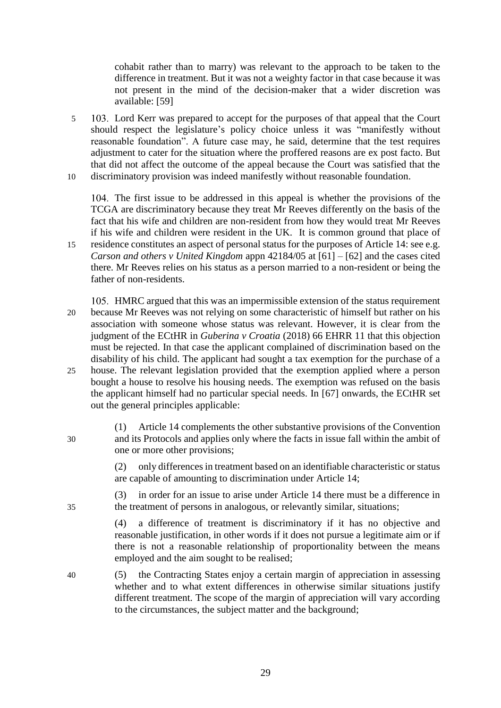cohabit rather than to marry) was relevant to the approach to be taken to the difference in treatment. But it was not a weighty factor in that case because it was not present in the mind of the decision-maker that a wider discretion was available: [59]

5 Lord Kerr was prepared to accept for the purposes of that appeal that the Court should respect the legislature's policy choice unless it was "manifestly without reasonable foundation". A future case may, he said, determine that the test requires adjustment to cater for the situation where the proffered reasons are ex post facto. But that did not affect the outcome of the appeal because the Court was satisfied that the 10 discriminatory provision was indeed manifestly without reasonable foundation.

The first issue to be addressed in this appeal is whether the provisions of the TCGA are discriminatory because they treat Mr Reeves differently on the basis of the fact that his wife and children are non-resident from how they would treat Mr Reeves if his wife and children were resident in the UK. It is common ground that place of 15 residence constitutes an aspect of personal status for the purposes of Article 14: see e.g.

- *Carson and others v United Kingdom* appn 42184/05 at [61] [62] and the cases cited there. Mr Reeves relies on his status as a person married to a non-resident or being the father of non-residents.
- 105. HMRC argued that this was an impermissible extension of the status requirement 20 because Mr Reeves was not relying on some characteristic of himself but rather on his association with someone whose status was relevant. However, it is clear from the judgment of the ECtHR in *Guberina v Croatia* (2018) 66 EHRR 11 that this objection must be rejected. In that case the applicant complained of discrimination based on the disability of his child. The applicant had sought a tax exemption for the purchase of a 25 house. The relevant legislation provided that the exemption applied where a person bought a house to resolve his housing needs. The exemption was refused on the basis the applicant himself had no particular special needs. In [67] onwards, the ECtHR set
- (1) Article 14 complements the other substantive provisions of the Convention 30 and its Protocols and applies only where the facts in issue fall within the ambit of one or more other provisions;

out the general principles applicable:

(2) only differences in treatment based on an identifiable characteristic or status are capable of amounting to discrimination under Article 14;

(3) in order for an issue to arise under Article 14 there must be a difference in 35 the treatment of persons in analogous, or relevantly similar, situations;

> (4) a difference of treatment is discriminatory if it has no objective and reasonable justification, in other words if it does not pursue a legitimate aim or if there is not a reasonable relationship of proportionality between the means employed and the aim sought to be realised;

40 (5) the Contracting States enjoy a certain margin of appreciation in assessing whether and to what extent differences in otherwise similar situations justify different treatment. The scope of the margin of appreciation will vary according to the circumstances, the subject matter and the background;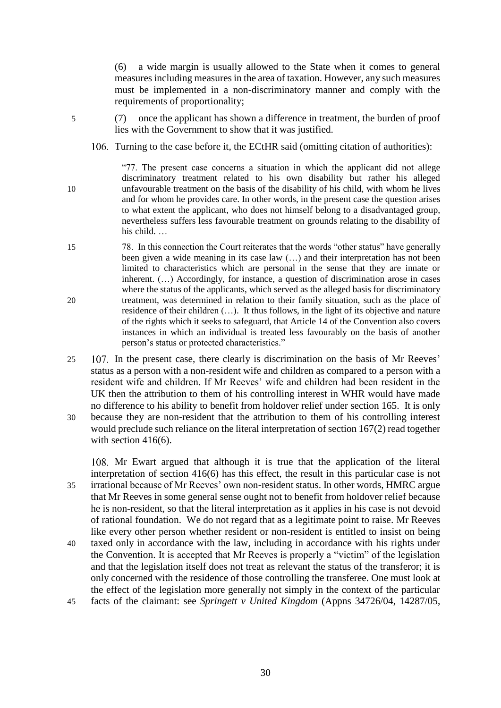(6) a wide margin is usually allowed to the State when it comes to general measures including measures in the area of taxation. However, any such measures must be implemented in a non-discriminatory manner and comply with the requirements of proportionality;

- 5 (7) once the applicant has shown a difference in treatment, the burden of proof lies with the Government to show that it was justified.
	- 106. Turning to the case before it, the ECtHR said (omitting citation of authorities):

"77. The present case concerns a situation in which the applicant did not allege discriminatory treatment related to his own disability but rather his alleged 10 unfavourable treatment on the basis of the disability of his child, with whom he lives and for whom he provides care. In other words, in the present case the question arises to what extent the applicant, who does not himself belong to a disadvantaged group, nevertheless suffers less favourable treatment on grounds relating to the disability of his child. …

- 15 78. In this connection the Court reiterates that the words "other status" have generally been given a wide meaning in its case law (…) and their interpretation has not been limited to characteristics which are personal in the sense that they are innate or inherent. (…) Accordingly, for instance, a question of discrimination arose in cases where the status of the applicants, which served as the alleged basis for discriminatory 20 treatment, was determined in relation to their family situation, such as the place of residence of their children (…). It thus follows, in the light of its objective and nature of the rights which it seeks to safeguard, that Article 14 of the Convention also covers instances in which an individual is treated less favourably on the basis of another person's status or protected characteristics."
- 25 107. In the present case, there clearly is discrimination on the basis of Mr Reeves' status as a person with a non-resident wife and children as compared to a person with a resident wife and children. If Mr Reeves' wife and children had been resident in the UK then the attribution to them of his controlling interest in WHR would have made no difference to his ability to benefit from holdover relief under section 165. It is only 30 because they are non-resident that the attribution to them of his controlling interest
- would preclude such reliance on the literal interpretation of section 167(2) read together with section 416(6).

108. Mr Ewart argued that although it is true that the application of the literal interpretation of section 416(6) has this effect, the result in this particular case is not 35 irrational because of Mr Reeves' own non-resident status. In other words, HMRC argue that Mr Reeves in some general sense ought not to benefit from holdover relief because he is non-resident, so that the literal interpretation as it applies in his case is not devoid of rational foundation. We do not regard that as a legitimate point to raise. Mr Reeves like every other person whether resident or non-resident is entitled to insist on being

- 40 taxed only in accordance with the law, including in accordance with his rights under the Convention. It is accepted that Mr Reeves is properly a "victim" of the legislation and that the legislation itself does not treat as relevant the status of the transferor; it is only concerned with the residence of those controlling the transferee. One must look at the effect of the legislation more generally not simply in the context of the particular 45 facts of the claimant: see *Springett v United Kingdom* (Appns 34726/04, 14287/05,
	- 30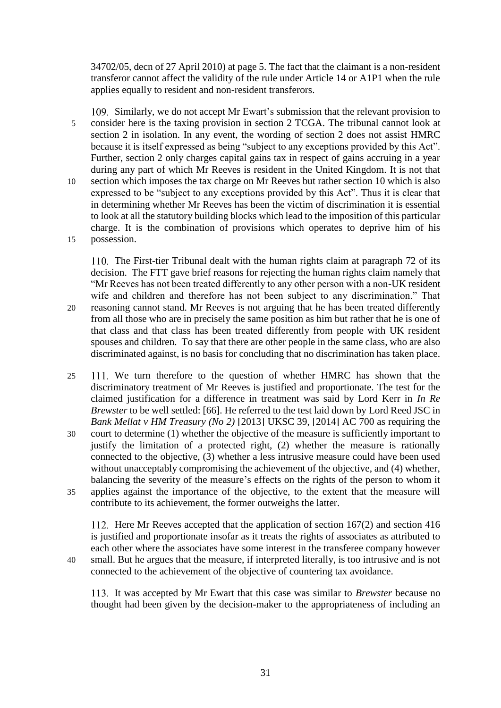34702/05, decn of 27 April 2010) at page 5. The fact that the claimant is a non-resident transferor cannot affect the validity of the rule under Article 14 or A1P1 when the rule applies equally to resident and non-resident transferors.

109. Similarly, we do not accept Mr Ewart's submission that the relevant provision to 5 consider here is the taxing provision in section 2 TCGA. The tribunal cannot look at section 2 in isolation. In any event, the wording of section 2 does not assist HMRC because it is itself expressed as being "subject to any exceptions provided by this Act". Further, section 2 only charges capital gains tax in respect of gains accruing in a year during any part of which Mr Reeves is resident in the United Kingdom. It is not that 10 section which imposes the tax charge on Mr Reeves but rather section 10 which is also expressed to be "subject to any exceptions provided by this Act". Thus it is clear that in determining whether Mr Reeves has been the victim of discrimination it is essential to look at all the statutory building blocks which lead to the imposition of this particular charge. It is the combination of provisions which operates to deprive him of his 15 possession.

110. The First-tier Tribunal dealt with the human rights claim at paragraph 72 of its decision. The FTT gave brief reasons for rejecting the human rights claim namely that "Mr Reeves has not been treated differently to any other person with a non-UK resident wife and children and therefore has not been subject to any discrimination." That

- 20 reasoning cannot stand. Mr Reeves is not arguing that he has been treated differently from all those who are in precisely the same position as him but rather that he is one of that class and that class has been treated differently from people with UK resident spouses and children. To say that there are other people in the same class, who are also discriminated against, is no basis for concluding that no discrimination has taken place.
- 25 111. We turn therefore to the question of whether HMRC has shown that the discriminatory treatment of Mr Reeves is justified and proportionate. The test for the claimed justification for a difference in treatment was said by Lord Kerr in *In Re Brewster* to be well settled: [66]. He referred to the test laid down by Lord Reed JSC in *Bank Mellat v HM Treasury (No 2)* [2013] UKSC 39, [2014] AC 700 as requiring the
- 30 court to determine (1) whether the objective of the measure is sufficiently important to justify the limitation of a protected right, (2) whether the measure is rationally connected to the objective, (3) whether a less intrusive measure could have been used without unacceptably compromising the achievement of the objective, and (4) whether, balancing the severity of the measure's effects on the rights of the person to whom it 35 applies against the importance of the objective, to the extent that the measure will contribute to its achievement, the former outweighs the latter.

112. Here Mr Reeves accepted that the application of section 167(2) and section 416 is justified and proportionate insofar as it treats the rights of associates as attributed to each other where the associates have some interest in the transferee company however 40 small. But he argues that the measure, if interpreted literally, is too intrusive and is not

It was accepted by Mr Ewart that this case was similar to *Brewster* because no thought had been given by the decision-maker to the appropriateness of including an

connected to the achievement of the objective of countering tax avoidance.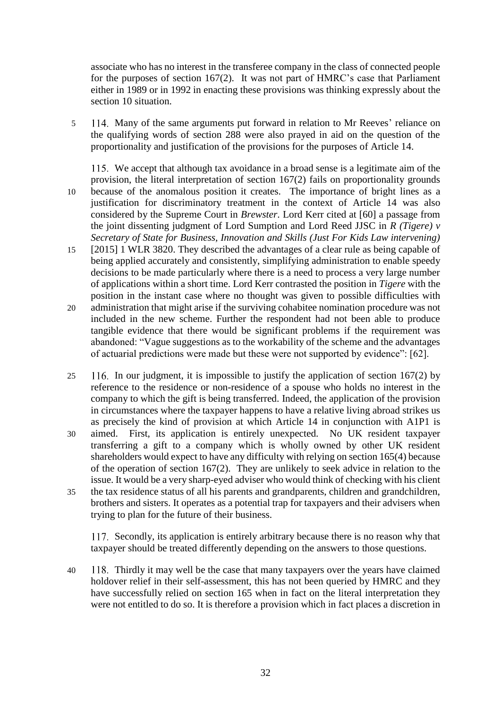associate who has no interest in the transferee company in the class of connected people for the purposes of section 167(2). It was not part of HMRC's case that Parliament either in 1989 or in 1992 in enacting these provisions was thinking expressly about the section 10 situation.

5 114. Many of the same arguments put forward in relation to Mr Reeves' reliance on the qualifying words of section 288 were also prayed in aid on the question of the proportionality and justification of the provisions for the purposes of Article 14.

115. We accept that although tax avoidance in a broad sense is a legitimate aim of the provision, the literal interpretation of section 167(2) fails on proportionality grounds

- 10 because of the anomalous position it creates. The importance of bright lines as a justification for discriminatory treatment in the context of Article 14 was also considered by the Supreme Court in *Brewster*. Lord Kerr cited at [60] a passage from the joint dissenting judgment of Lord Sumption and Lord Reed JJSC in *R (Tigere) v Secretary of State for Business, Innovation and Skills (Just For Kids Law intervening)*
- 15 [2015] 1 WLR 3820. They described the advantages of a clear rule as being capable of being applied accurately and consistently, simplifying administration to enable speedy decisions to be made particularly where there is a need to process a very large number of applications within a short time. Lord Kerr contrasted the position in *Tigere* with the position in the instant case where no thought was given to possible difficulties with
- 20 administration that might arise if the surviving cohabitee nomination procedure was not included in the new scheme. Further the respondent had not been able to produce tangible evidence that there would be significant problems if the requirement was abandoned: "Vague suggestions as to the workability of the scheme and the advantages of actuarial predictions were made but these were not supported by evidence": [62].
- 25 In our judgment, it is impossible to justify the application of section 167(2) by reference to the residence or non-residence of a spouse who holds no interest in the company to which the gift is being transferred. Indeed, the application of the provision in circumstances where the taxpayer happens to have a relative living abroad strikes us as precisely the kind of provision at which Article 14 in conjunction with A1P1 is
- 30 aimed. First, its application is entirely unexpected. No UK resident taxpayer transferring a gift to a company which is wholly owned by other UK resident shareholders would expect to have any difficulty with relying on section 165(4) because of the operation of section 167(2). They are unlikely to seek advice in relation to the issue. It would be a very sharp-eyed adviser who would think of checking with his client
- 35 the tax residence status of all his parents and grandparents, children and grandchildren, brothers and sisters. It operates as a potential trap for taxpayers and their advisers when trying to plan for the future of their business.

117. Secondly, its application is entirely arbitrary because there is no reason why that taxpayer should be treated differently depending on the answers to those questions.

40 Thirdly it may well be the case that many taxpayers over the years have claimed holdover relief in their self-assessment, this has not been queried by HMRC and they have successfully relied on section 165 when in fact on the literal interpretation they were not entitled to do so. It is therefore a provision which in fact places a discretion in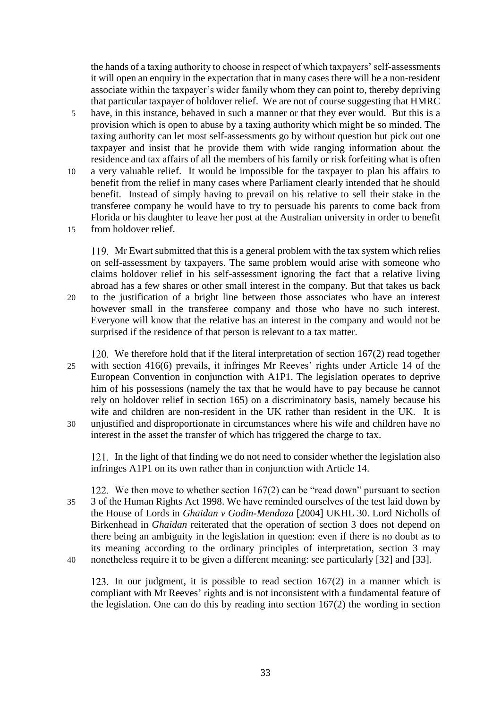the hands of a taxing authority to choose in respect of which taxpayers' self-assessments it will open an enquiry in the expectation that in many cases there will be a non-resident associate within the taxpayer's wider family whom they can point to, thereby depriving that particular taxpayer of holdover relief. We are not of course suggesting that HMRC

- 5 have, in this instance, behaved in such a manner or that they ever would. But this is a provision which is open to abuse by a taxing authority which might be so minded. The taxing authority can let most self-assessments go by without question but pick out one taxpayer and insist that he provide them with wide ranging information about the residence and tax affairs of all the members of his family or risk forfeiting what is often
- 10 a very valuable relief. It would be impossible for the taxpayer to plan his affairs to benefit from the relief in many cases where Parliament clearly intended that he should benefit. Instead of simply having to prevail on his relative to sell their stake in the transferee company he would have to try to persuade his parents to come back from Florida or his daughter to leave her post at the Australian university in order to benefit
- 15 from holdover relief.

Mr Ewart submitted that this is a general problem with the tax system which relies on self-assessment by taxpayers. The same problem would arise with someone who claims holdover relief in his self-assessment ignoring the fact that a relative living abroad has a few shares or other small interest in the company. But that takes us back 20 to the justification of a bright line between those associates who have an interest however small in the transferee company and those who have no such interest. Everyone will know that the relative has an interest in the company and would not be surprised if the residence of that person is relevant to a tax matter.

- 120. We therefore hold that if the literal interpretation of section  $167(2)$  read together 25 with section 416(6) prevails, it infringes Mr Reeves' rights under Article 14 of the European Convention in conjunction with A1P1. The legislation operates to deprive him of his possessions (namely the tax that he would have to pay because he cannot rely on holdover relief in section 165) on a discriminatory basis, namely because his wife and children are non-resident in the UK rather than resident in the UK. It is 30 unjustified and disproportionate in circumstances where his wife and children have no
- interest in the asset the transfer of which has triggered the charge to tax.

121. In the light of that finding we do not need to consider whether the legislation also infringes A1P1 on its own rather than in conjunction with Article 14.

122. We then move to whether section  $167(2)$  can be "read down" pursuant to section 35 3 of the Human Rights Act 1998. We have reminded ourselves of the test laid down by the House of Lords in *Ghaidan v Godin-Mendoza* [2004] UKHL 30. Lord Nicholls of Birkenhead in *Ghaidan* reiterated that the operation of section 3 does not depend on there being an ambiguity in the legislation in question: even if there is no doubt as to its meaning according to the ordinary principles of interpretation, section 3 may 40 nonetheless require it to be given a different meaning: see particularly [32] and [33].

123. In our judgment, it is possible to read section  $167(2)$  in a manner which is compliant with Mr Reeves' rights and is not inconsistent with a fundamental feature of the legislation. One can do this by reading into section 167(2) the wording in section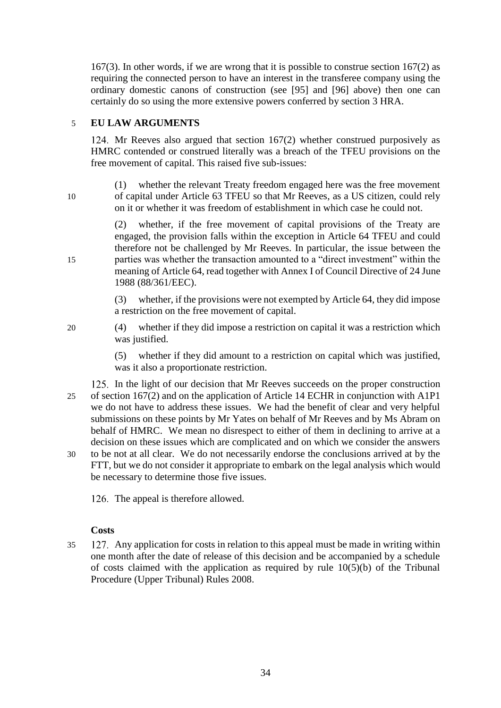167(3). In other words, if we are wrong that it is possible to construe section 167(2) as requiring the connected person to have an interest in the transferee company using the ordinary domestic canons of construction (see [\[95\]](#page-26-0) and [\[96\]](#page-26-1) above) then one can certainly do so using the more extensive powers conferred by section 3 HRA.

# 5 **EU LAW ARGUMENTS**

124. Mr Reeves also argued that section  $167(2)$  whether construed purposively as HMRC contended or construed literally was a breach of the TFEU provisions on the free movement of capital. This raised five sub-issues:

(1) whether the relevant Treaty freedom engaged here was the free movement 10 of capital under Article 63 TFEU so that Mr Reeves, as a US citizen, could rely on it or whether it was freedom of establishment in which case he could not.

(2) whether, if the free movement of capital provisions of the Treaty are engaged, the provision falls within the exception in Article 64 TFEU and could therefore not be challenged by Mr Reeves. In particular, the issue between the 15 parties was whether the transaction amounted to a "direct investment" within the meaning of Article 64, read together with Annex I of Council Directive of 24 June 1988 (88/361/EEC).

> (3) whether, if the provisions were not exempted by Article 64, they did impose a restriction on the free movement of capital.

20 (4) whether if they did impose a restriction on capital it was a restriction which was justified.

> (5) whether if they did amount to a restriction on capital which was justified, was it also a proportionate restriction.

- 125. In the light of our decision that Mr Reeves succeeds on the proper construction 25 of section 167(2) and on the application of Article 14 ECHR in conjunction with A1P1 we do not have to address these issues. We had the benefit of clear and very helpful submissions on these points by Mr Yates on behalf of Mr Reeves and by Ms Abram on behalf of HMRC. We mean no disrespect to either of them in declining to arrive at a decision on these issues which are complicated and on which we consider the answers 30 to be not at all clear. We do not necessarily endorse the conclusions arrived at by the
- FTT, but we do not consider it appropriate to embark on the legal analysis which would be necessary to determine those five issues.

126. The appeal is therefore allowed.

# **Costs**

35 Any application for costs in relation to this appeal must be made in writing within one month after the date of release of this decision and be accompanied by a schedule of costs claimed with the application as required by rule 10(5)(b) of the Tribunal Procedure (Upper Tribunal) Rules 2008.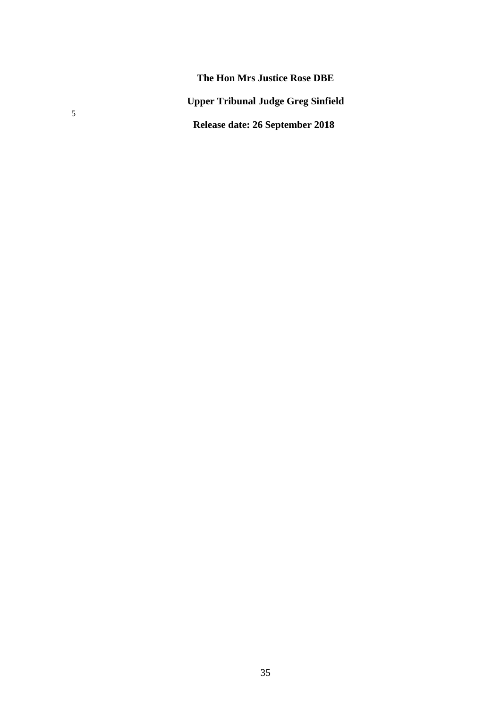**The Hon Mrs Justice Rose DBE Upper Tribunal Judge Greg Sinfield Release date: 26 September 2018**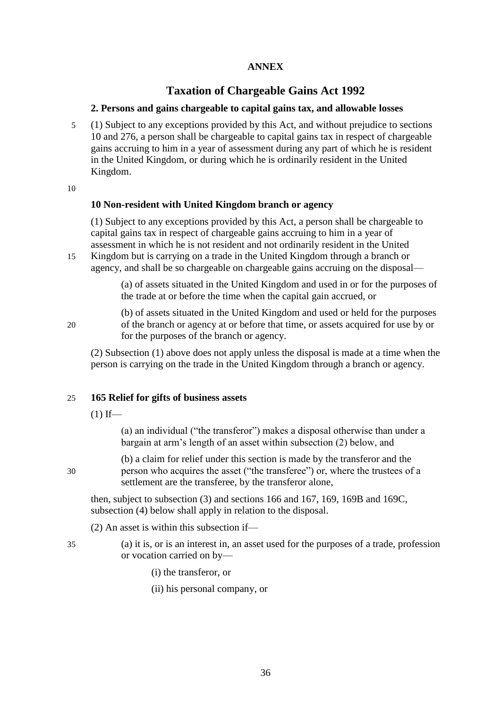# **ANNEX**

# **Taxation of Chargeable Gains Act 1992**

# **2. Persons and gains chargeable to capital gains tax, and allowable losses**

5 (1) Subject to any exceptions provided by this Act, and without prejudice to sections 10 and 276, a person shall be chargeable to capital gains tax in respect of chargeable gains accruing to him in a year of assessment during any part of which he is resident in the United Kingdom, or during which he is ordinarily resident in the United Kingdom.

10

# **10 Non-resident with United Kingdom branch or agency**

(1) Subject to any exceptions provided by this Act, a person shall be chargeable to capital gains tax in respect of chargeable gains accruing to him in a year of assessment in which he is not resident and not ordinarily resident in the United

15 Kingdom but is carrying on a trade in the United Kingdom through a branch or agency, and shall be so chargeable on chargeable gains accruing on the disposal—

> (a) of assets situated in the United Kingdom and used in or for the purposes of the trade at or before the time when the capital gain accrued, or

(b) of assets situated in the United Kingdom and used or held for the purposes 20 of the branch or agency at or before that time, or assets acquired for use by or for the purposes of the branch or agency.

(2) Subsection (1) above does not apply unless the disposal is made at a time when the person is carrying on the trade in the United Kingdom through a branch or agency.

#### 25 **165 Relief for gifts of business assets**

 $(1)$  If—

(a) an individual ("the transferor") makes a disposal otherwise than under a bargain at arm's length of an asset within subsection (2) below, and

(b) a claim for relief under this section is made by the transferor and the 30 person who acquires the asset ("the transferee") or, where the trustees of a settlement are the transferee, by the transferor alone,

then, subject to subsection (3) and sections 166 and 167, 169, 169B and 169C, subsection (4) below shall apply in relation to the disposal.

(2) An asset is within this subsection if—

- 35 (a) it is, or is an interest in, an asset used for the purposes of a trade, profession or vocation carried on by—
	- (i) the transferor, or
	- (ii) his personal company, or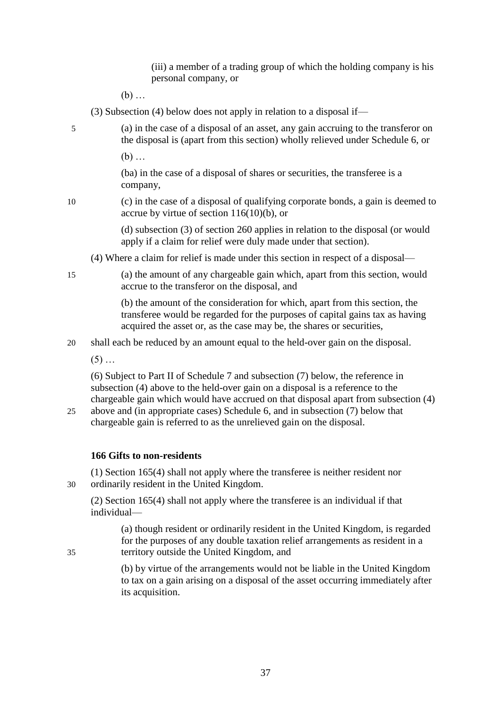(iii) a member of a trading group of which the holding company is his personal company, or

(b) …

(3) Subsection (4) below does not apply in relation to a disposal if—

5 (a) in the case of a disposal of an asset, any gain accruing to the transferor on the disposal is (apart from this section) wholly relieved under Schedule 6, or

(b) …

(ba) in the case of a disposal of shares or securities, the transferee is a company,

10 (c) in the case of a disposal of qualifying corporate bonds, a gain is deemed to accrue by virtue of section 116(10)(b), or

> (d) subsection (3) of section 260 applies in relation to the disposal (or would apply if a claim for relief were duly made under that section).

- (4) Where a claim for relief is made under this section in respect of a disposal—
- 15 (a) the amount of any chargeable gain which, apart from this section, would accrue to the transferor on the disposal, and

(b) the amount of the consideration for which, apart from this section, the transferee would be regarded for the purposes of capital gains tax as having acquired the asset or, as the case may be, the shares or securities,

20 shall each be reduced by an amount equal to the held-over gain on the disposal.

 $(5)$  ...

(6) Subject to Part II of Schedule 7 and subsection (7) below, the reference in subsection (4) above to the held-over gain on a disposal is a reference to the chargeable gain which would have accrued on that disposal apart from subsection (4)

25 above and (in appropriate cases) Schedule 6, and in subsection (7) below that chargeable gain is referred to as the unrelieved gain on the disposal.

# **166 Gifts to non-residents**

(1) Section 165(4) shall not apply where the transferee is neither resident nor 30 ordinarily resident in the United Kingdom.

(2) Section 165(4) shall not apply where the transferee is an individual if that individual—

(a) though resident or ordinarily resident in the United Kingdom, is regarded for the purposes of any double taxation relief arrangements as resident in a 35 territory outside the United Kingdom, and

> (b) by virtue of the arrangements would not be liable in the United Kingdom to tax on a gain arising on a disposal of the asset occurring immediately after its acquisition.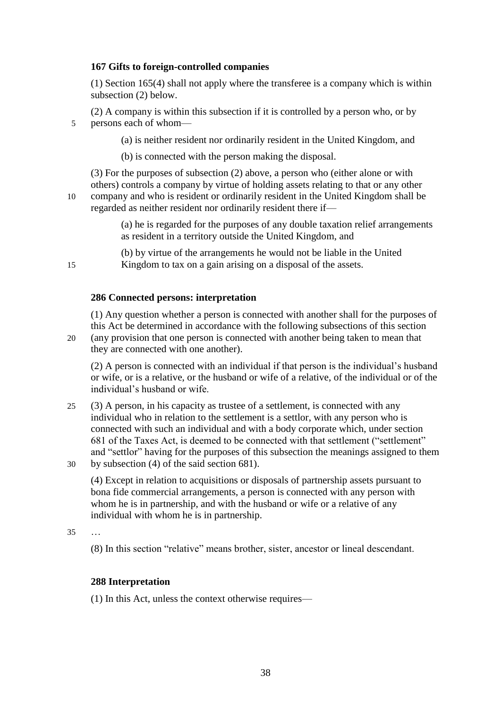# **167 Gifts to foreign-controlled companies**

(1) Section 165(4) shall not apply where the transferee is a company which is within subsection (2) below.

(2) A company is within this subsection if it is controlled by a person who, or by 5 persons each of whom—

(a) is neither resident nor ordinarily resident in the United Kingdom, and

(b) is connected with the person making the disposal.

(3) For the purposes of subsection (2) above, a person who (either alone or with others) controls a company by virtue of holding assets relating to that or any other 10 company and who is resident or ordinarily resident in the United Kingdom shall be

regarded as neither resident nor ordinarily resident there if—

(a) he is regarded for the purposes of any double taxation relief arrangements as resident in a territory outside the United Kingdom, and

(b) by virtue of the arrangements he would not be liable in the United 15 Kingdom to tax on a gain arising on a disposal of the assets.

# **286 Connected persons: interpretation**

(1) Any question whether a person is connected with another shall for the purposes of this Act be determined in accordance with the following subsections of this section

20 (any provision that one person is connected with another being taken to mean that they are connected with one another).

(2) A person is connected with an individual if that person is the individual's husband or wife, or is a relative, or the husband or wife of a relative, of the individual or of the individual's husband or wife.

25 (3) A person, in his capacity as trustee of a settlement, is connected with any individual who in relation to the settlement is a settlor, with any person who is connected with such an individual and with a body corporate which, under section 681 of the Taxes Act, is deemed to be connected with that settlement ("settlement" and "settlor" having for the purposes of this subsection the meanings assigned to them 30 by subsection (4) of the said section 681).

(4) Except in relation to acquisitions or disposals of partnership assets pursuant to bona fide commercial arrangements, a person is connected with any person with whom he is in partnership, and with the husband or wife or a relative of any individual with whom he is in partnership.

35 …

(8) In this section "relative" means brother, sister, ancestor or lineal descendant.

# **288 Interpretation**

(1) In this Act, unless the context otherwise requires—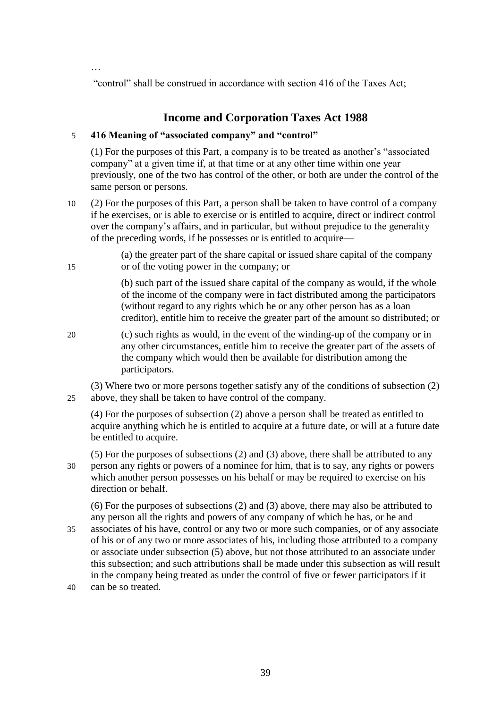…

"control" shall be construed in accordance with section 416 of the Taxes Act;

# **Income and Corporation Taxes Act 1988**

# 5 **416 Meaning of "associated company" and "control"**

(1) For the purposes of this Part, a company is to be treated as another's "associated company" at a given time if, at that time or at any other time within one year previously, one of the two has control of the other, or both are under the control of the same person or persons.

10 (2) For the purposes of this Part, a person shall be taken to have control of a company if he exercises, or is able to exercise or is entitled to acquire, direct or indirect control over the company's affairs, and in particular, but without prejudice to the generality of the preceding words, if he possesses or is entitled to acquire—

(a) the greater part of the share capital or issued share capital of the company 15 or of the voting power in the company; or

> (b) such part of the issued share capital of the company as would, if the whole of the income of the company were in fact distributed among the participators (without regard to any rights which he or any other person has as a loan creditor), entitle him to receive the greater part of the amount so distributed; or

20 (c) such rights as would, in the event of the winding-up of the company or in any other circumstances, entitle him to receive the greater part of the assets of the company which would then be available for distribution among the participators.

(3) Where two or more persons together satisfy any of the conditions of subsection (2) 25 above, they shall be taken to have control of the company.

(4) For the purposes of subsection (2) above a person shall be treated as entitled to acquire anything which he is entitled to acquire at a future date, or will at a future date be entitled to acquire.

(5) For the purposes of subsections (2) and (3) above, there shall be attributed to any 30 person any rights or powers of a nominee for him, that is to say, any rights or powers which another person possesses on his behalf or may be required to exercise on his direction or behalf.

(6) For the purposes of subsections (2) and (3) above, there may also be attributed to any person all the rights and powers of any company of which he has, or he and

- 35 associates of his have, control or any two or more such companies, or of any associate of his or of any two or more associates of his, including those attributed to a company or associate under subsection (5) above, but not those attributed to an associate under this subsection; and such attributions shall be made under this subsection as will result in the company being treated as under the control of five or fewer participators if it
- 40 can be so treated.